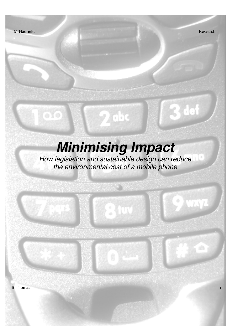0Yo

67.TI

3 def

# **Minimising Impact**

 $\ddot{\text{e}}$ 

How legislation and sustainable design can reduce the environmental cost of a mobile phone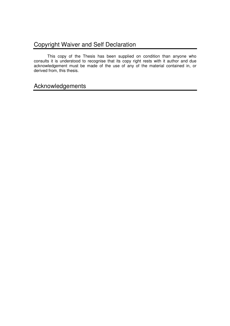# Copyright Waiver and Self Declaration

 This copy of the Thesis has been supplied on condition than anyone who consults it is understood to recognise that its copy right rests with it author and due acknowledgement must be made of the use of any of the material contained in, or derived from, this thesis.

# Acknowledgements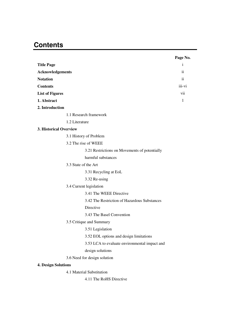# **Contents**

|                                               | Page No.                |
|-----------------------------------------------|-------------------------|
| <b>Title Page</b>                             | $\mathbf{1}$            |
| <b>Acknowledgements</b>                       | $\ddot{\rm n}$          |
| <b>Notation</b>                               | $\overline{\mathbf{u}}$ |
| <b>Contents</b>                               | iii-vi                  |
| <b>List of Figures</b>                        | vii                     |
| 1. Abstract                                   | $\mathbf{1}$            |
| 2. Introduction                               |                         |
| 1.1 Research framework                        |                         |
| 1.2 Literature                                |                         |
| 3. Historical Overview                        |                         |
| 3.1 History of Problem                        |                         |
| 3.2 The rise of WEEE                          |                         |
| 3.21 Restrictions on Movements of potentially |                         |
| harmful substances                            |                         |
| 3.3 State of the Art                          |                         |
| 3.31 Recycling at EoL                         |                         |
| 3.32 Re-using                                 |                         |
| 3.4 Current legislation                       |                         |
| 3.41 The WEEE Directive                       |                         |
| 3.42 The Restriction of Hazardous Substances  |                         |
| Directive                                     |                         |
| 3.43 The Basel Convention                     |                         |
| 3.5 Critique and Summary                      |                         |
| 3.51 Legislation                              |                         |
| 3.52 EOL options and design limitations       |                         |
| 3.53 LCA to evaluate environmental impact and |                         |
| design solutions                              |                         |
| 3.6 Need for design solution                  |                         |
| <b>4. Design Solutions</b>                    |                         |
| 4.1 Material Substitution                     |                         |
| 4.11 The RoHS Directive                       |                         |
|                                               |                         |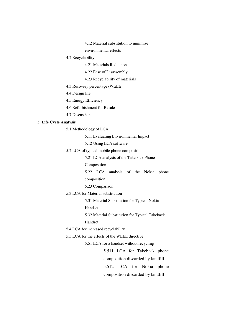4.12 Material substitution to minimise

environmental effects

4.2 Recyclability

4.21 Materials Reduction

4.22 Ease of Disassembly

4.23 Recyclability of materials

4.3 Recovery percentage (WEEE)

4.4 Design life

4.5 Energy Efficiency

4.6 Refurbishment for Resale

4.7 Discussion

#### **5. Life Cycle Analysis**

5.1 Methodology of LCA

5.11 Evaluating Environmental Impact

5.12 Using LCA software

5.2 LCA of typical mobile phone compositions

5.21 LCA analysis of the Takeback Phone

Composition

 5.22 LCA analysis of the Nokia phone composition

5.23 Comparison

5.3 LCA for Material substitution

5.31 Material Substitution for Typical Nokia

Handset

5.32 Material Substitution for Typical Takeback

Handset

5.4 LCA for increased recyclability

5.5 LCA for the effects of the WEEE directive

5.51 LCA for a handset without recycling

 5.511 LCA for Takeback phone composition discarded by landfill 5.512 LCA for Nokia phone composition discarded by landfill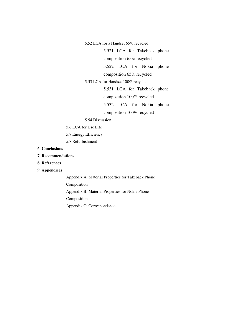5.52 LCA for a Handset 65% recycled

5.521 LCA for Takeback phone

composition 65% recycled

5.522 LCA for Nokia phone

composition 65% recycled

5.53 LCA for Handset 100% recycled

5.531 LCA for Takeback phone

composition 100% recycled

5.532 LCA for Nokia phone

composition 100% recycled

#### 5.54 Discussion

- 5.6 LCA for Use Life
- 5.7 Energy Efficiency
- 5.8 Refurbishment
- **6. Conclusions**
- **7. Recommendations**
- **8. References**

#### **9. Appendices**

Appendix A: Material Properties for Takeback Phone Composition Appendix B: Material Properties for Nokia Phone Composition Appendix C: Correspondence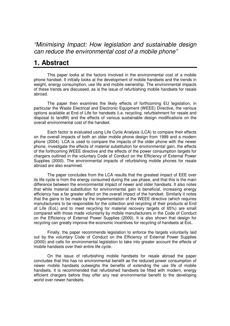"Minimising Impact: How legislation and sustainable design can reduce the environmental cost of a mobile phone"

# **1. Abstract**

 This paper looks at the factors involved in the environmental cost of a mobile phone handset. It initially looks at the development of mobile handsets and the trends in weight, energy consumption, use life and mobile ownership. The environmental impacts of these trends are discussed, as is the issue of refurbishing mobile handsets for resale abroad.

The paper then examines the likely effects of forthcoming EU legislation, in particular the Waste Electrical and Electronic Equipment (WEEE) Directive, the various options available at End of Life for handsets (i.e. recycling, refurbishment for resale and disposal to landfill) and the effects of various sustainable design modifications on the overall environmental cost of the handset.

 Each factor is evaluated using Life Cycle Analysis (LCA) to compare their effects on the overall impacts of both an older mobile phone design from 1999 and a modern phone (2004). LCA is used to compare the impacts of the older phone with the newer phone, investigate the effects of material substitution for environmental gain, the effects of the forthcoming WEEE directive and the effects of the power consumption targets for chargers outlined in the voluntary Code of Conduct on the Efficiency of External Power Supplies (2000). The environmental impacts of refurbishing mobile phones for resale abroad are also examined.

 The paper concludes from the LCA results that the greatest impact of EEE over its life cycle is from the energy consumed during the use phase, and that this is the main difference between the environmental impact of newer and older handsets. It also notes that while material substitution for environmental gain is beneficial, increasing energy efficiency has a far greater effect on the overall impact of the handset. Similarly it notes that the gains to be made by the implementation of the WEEE directive (which requires manufacturers to be responsible for the collection and recycling of their products at End of Life (EoL) and to meet recycling for material recovery targets of 65%) are small compared with those made voluntarily by mobile manufacturers in the Code of Conduct on the Efficiency of External Power Supplies (2000). It is also shown that design for recycling can greatly improve the economic incentives for recycling of handsets at EoL.

 Finally, the paper recommends legislation to enforce the targets voluntarily laid out by the voluntary Code of Conduct on the Efficiency of External Power Supplies (2000) and calls for environmental legislation to take into greater account the effects of mobile handsets over their entire life cycle.

 On the issue of refurbishing mobile handsets for resale abroad the paper concludes that this has no environmental benefit as the reduced power consumption of newer mobile handsets outweighs the benefits of extending the use life of mobile handsets. It is recommended that refurbished handsets be fitted with modern, energy efficient chargers before they offer any real environmental benefit to the developing world over newer handsets.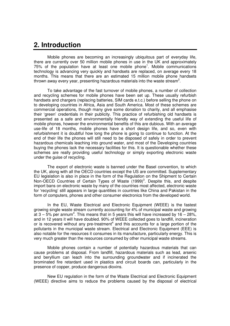# **2. Introduction**

 Mobile phones are becoming an increasingly ubiquitous part of everyday life, there are currently over 50 million mobile phones in use in the UK and approximately 75% of the population have at least one mobile phone<sup>1</sup>. Mobile communications technology is advancing very quickly and handsets are replaced, on average every 18 months. This means that there are an estimated 15 million mobile phone handsets thrown away every year, presenting hazardous materials into the waste stream<sup>2</sup>.

 To take advantage of the fast turnover of mobile phones, a number of collection and recycling schemes for mobile phones have been set up. These usually refurbish handsets and chargers (replacing batteries, SIM cards e.t.c.) before selling the phone on to developing countries in Africa, Asia and South America. Most of these schemes are commercial operations, though many give some donation to charity, and all emphasise their 'green' credentials in their publicity. This practice of refurbishing old handsets is presented as a safe and environmentally friendly way of extending the useful life of mobile phones, however the environmental benefits of this are dubious. With an average use-life of 18 months, mobile phones have a short design life, and so, even with refurbishment it is doubtful how long the phone is going to continue to function. At the end of their life the phones will still need to be disposed of safely in order to prevent hazardous chemicals leaching into ground water, and most of the Developing countries buying the phones lack the necessary facilities for this. It is questionable whether these schemes are really providing useful technology or simply exporting electronic waste under the guise of recycling.

 The export of electronic waste is banned under the Basel convention, to which the UK, along with all the OECD countries except the US are committed. Supplementary EU legislation is also in place in the form of the Regulation on the Shipment to Certain Non-OECD Countries of Certain Types of Waste (1999)<sup>3</sup>. Despite this, and despite import bans on electronic waste by many of the countries most affected, electronic waste for 'recycling' still appears in large quantities in countries like China and Pakistan in the form of computers, phones and other consumer electronics from the developed world.

 In the EU, Waste Electrical and Electronic Equipment (WEEE) is the fastest growing single waste stream currently accounting for 4% of municipal waste and growing at  $3 - 5$ % per annum<sup>4</sup>. This means that in 5 years this will have increased by  $16 - 28$ %, and in 12 years it will have doubled. 90% of WEEE collected goes to landfill, incineration or is recovered without any pre-treatment<sup>4</sup> and this accounts for a large portion of the pollutants in the municipal waste stream. Electrical and Electronic Equipment (EEE) is also notable for the resources it consumes in its manufacture, particularly energy. This is very much greater than the resources consumed by other municipal waste streams.

 Mobile phones contain a number of potentially hazardous materials that can cause problems at disposal. From landfill, hazardous materials such as lead, arsenic and beryllium can leach into the surrounding groundwater and if incinerated the brominated fire retardant used in plastics and circuit boards can, particularly in the presence of copper, produce dangerous dioxins.

 New EU regulation in the form of the Waste Electrical and Electronic Equipment (WEEE) directive aims to reduce the problems caused by the disposal of electrical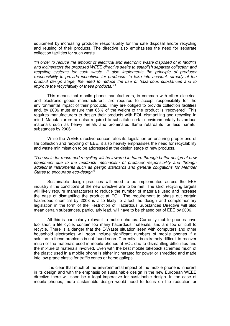equipment by increasing producer responsibility for the safe disposal and/or recycling and reusing of their products. The directive also emphasises the need for separate collection facilities for such waste.

"In order to reduce the amount of electrical and electronic waste disposed of in landfills and incinerators the proposed WEEE directive seeks to establish separate collection and recycling systems for such waste. It also implements the principle of producer responsibility to provide incentives for producers to take into account, already at the product design stage, the need to reduce the use of hazardous substances and to improve the recyclability of these products." $4$ 

 This means that mobile phone manufacturers, in common with other electrical and electronic goods manufacturers, are required to accept responsibility for the environmental impact of their products. They are obliged to provide collection facilities and, by 2006 must ensure that 65% of the weight of the product is 'recovered'. This requires manufacturers to design their products with EOL dismantling and recycling in mind. Manufacturers are also required to substitute certain environmentally hazardous materials such as heavy metals and brominated flame retardants for less harmful substances by 2006.

 While the WEEE directive concentrates its legislation on ensuring proper end of life collection and recycling of EEE, it also heavily emphasises the need for recyclability and waste minimisation to be addressed at the design stage of new products.

"The costs for reuse and recycling will be lowered in future through better design of new equipment due to the feedback mechanism of producer responsibility and through additional instruments such as design standards and general obligations for Member States to encourage eco-design<sup>'5</sup>

 Sustainable design practices will need to be implemented across the EEE industry if the conditions of the new directive are to be met. The strict recycling targets will likely require manufacturers to reduce the number of materials used and increase the ease of dismantling the product at EOL. The requirement to phase out certain hazardous chemical by 2008 is also likely to affect the design and complementary legislation in the form of the Restriction of Hazardous Substances Directive will also mean certain substances, particularly lead, will have to be phased out of EEE by 2006.

 All this is particularly relevant to mobile phones. Currently mobile phones have too short a life cycle, contain too many hazardous materials, and are too difficult to recycle. There is a danger that the E-Waste situation seen with computers and other household electronics will soon include significant numbers of mobile phones if a solution to these problems is not found soon. Currently it is extremely difficult to recover much of the materials used in mobile phones at EOL due to dismantling difficulties and the mixture of materials involved. Even with the best mobile takeback schemes much of the plastic used in a mobile phone is either incinerated for power or shredded and made into low grade plastic for traffic cones or horse gallops.

 It is clear that much of the environmental impact of the mobile phone is inherent in its design and with the emphasis on sustainable design in the new European WEEE directive there will soon be a legal imperative for sustainable design. In the case of mobile phones, more sustainable design would need to focus on the reduction or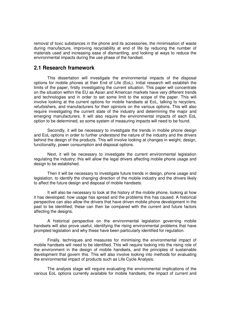removal of toxic substances in the phone and its accessories, the minimisation of waste during manufacture, improving recyclability at end of life by reducing the number of materials used and increasing ease of dismantling, and looking at ways to reduce the environmental impacts during the use phase of the handset.

### **2.1 Research framework**

 This dissertation will investigate the environmental impacts of the disposal options for mobile phones at their End of Life (EoL). Initial research will establish the limits of the paper, firstly investigating the current situation. This paper will concentrate on the situation within the EU as Asian and American markets have very different trends and technologies and in order to set some limit to the scope of the paper. This will involve looking at the current options for mobile handsets at EoL, talking to recyclers, refurbishers, and manufacturers for their opinions on the various options. This will also require investigating the current state of the industry and determining the major and emerging manufacturers. It will also require the environmental impacts of each EoL option to be determined, so some system of measuring impacts will need to be found.

 Secondly, it will be necessary to investigate the trends in mobile phone design and EoL options in order to further understand the nature of the industry and the drivers behind the design of the products. This will involve looking at changes in weight, design, functionality, power consumption and disposal options.

 Next, it will be necessary to investigate the current environmental legislation regulating the industry; this will allow the legal drivers affecting mobile phone usage and design to be established.

 Then it will be necessary to investigate future trends in design, phone usage and legislation, to identify the changing direction of the mobile industry and the drivers likely to affect the future design and disposal of mobile handsets.

 It will also be necessary to look at the history of the mobile phone, looking at how it has developed, how usage has spread and the problems this has caused. A historical perspective can also allow the drivers that have driven mobile phone development in the past to be identified; these can then be compared with the current and future factors affecting the designs.

 A historical perspective on the environmental legislation governing mobile handsets will also prove useful, identifying the rising environmental problems that have prompted legislation and why these have been particularly identified for regulation.

 Finally, techniques and measures for minimising the environmental impact of mobile handsets will need to be identified. This will require looking into the rising role of the environment in the design of mobile handsets, and the principles of sustainable development that govern this. This will also involve looking into methods for evaluating the environmental impact of products such as Life Cycle Analysis.

 The analysis stage will require evaluating the environmental implications of the various EoL options currently available for mobile handsets, the impact of current and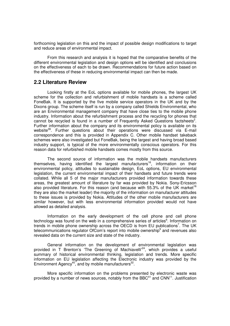forthcoming legislation on this and the impact of possible design modifications to target and reduce areas of environmental impact.

 From this research and analysis it is hoped that the comparative benefits of the different environmental legislation and design options will be identified and conclusions on the effectiveness of each to be drawn. Recommendations for future action based on the effectiveness of these in reducing environmental impact can then be made.

### **2.2 Literature Review**

 Looking firstly at the EoL options available for mobile phones, the largest UK scheme for the collection and refurbishment of mobile handsets is a scheme called FoneBak. It is supported by the five mobile service operators in the UK and by the Dixons group. The scheme itself is run by a company called Shields Environmental, who are an Environmental management company that have close ties to the mobile phone industry. Information about the refurbishment process and the recycling for phones that cannot be recycled is found in a number of Frequently Asked Questions factsheets<sup>2</sup>. Further information about the company and its environmental policy is available on its website<sup>39</sup>. Further questions about their operations were discussed via E-mail correspondence and this is provided in Appendix C. Other mobile handset takeback schemes were also investigated but FoneBak, being the largest and having broad based industry support, is typical of the more environmentally conscious operators. For this reason data for refurbished mobile handsets comes mostly from this source.

 The second source of information was the mobile handsets manufacturers themselves, having identified the largest manufacturers<sup>16</sup>, information on their environmental policy, attitudes to sustainable design, EoL options, EU environmental legislation, the current environmental impact of their handsets and future trends were collated. While all 5 of the major manufacturers provided information towards these areas, the greatest amount of literature by far was provided by Nokia. Sony-Ericsson also provided literature. For this reason (and because with 55.3% of the UK market<sup>16</sup> they are also the market leader) the majority of the information on manufacturer attitudes to these issues is provided by Nokia. Attitudes of the other mobile manufacturers are similar however, but with less environmental information provided would not have allowed as detailed analysis.

 Information on the early development of the cell phone and cell phone technology was found on the web in a comprehensive series of articles<sup>6</sup>. Information on trends in mobile phone ownership across the OECD is from EU publications<sup>7</sup>. The UK telecommunications regulator OfCom's report into mobile ownership<sup>9</sup> and revenues also revealed data on the current size and state of the industry.

 General information on the development of environmental legislation was provided in T Brenton's 'The Greening of Machiavelli<sup>24</sup>, which provides a useful summary of historical environmental thinking, legislation and trends. More specific information on EU legislation affecting the Electronic industry was provided by the Environment Agency<sup>40</sup>, and by mobile manufacturers<sup>32</sup>.

 More specific information on the problems presented by electronic waste was provided by a number of news sources, notably from the BBC $41$  and CNN $11$ . Justification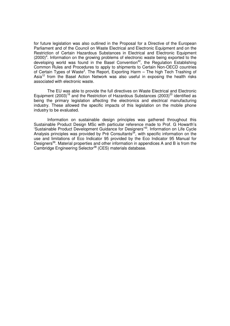for future legislation was also outlined in the Proposal for a Directive of the European Parliament and of the Council on Waste Electrical and Electronic Equipment and on the Restriction of Certain Hazardous Substances in Electrical and Electronic Equipment  $(2000)^4$ . Information on the growing problems of electronic waste being exported to the developing world was found in the Basel Convention<sup>42</sup>, the Regulation Establishing Common Rules and Procedures to apply to shipments to Certain Non-OECD countries of Certain Types of Waste<sup>3</sup>. The Report, Exporting Harm - The high Tech Trashing of Asia<sup>12</sup> from the Basel Action Network was also useful in exposing the health risks associated with electronic waste.

 The EU was able to provide the full directives on Waste Electrical and Electronic Equipment  $(2003)^{18}$  and the Restriction of Hazardous Substances  $(2003)^{23}$  identified as being the primary legislation affecting the electronics and electrical manufacturing industry. These allowed the specific impacts of this legislation on the mobile phone industry to be evaluated.

 Information on sustainable design principles was gathered throughout this Sustainable Product Design MSc with particular reference made to Prof. G Howarth's 'Sustainable Product Development Guidance for Designers'<sup>43</sup>. Information on Life Cycle Analysis principles was provided by Pré Consultants<sup>34</sup>, with specific information on the use and limitations of Eco Indicator 95 provided by the Eco Indicator 95 Manual for Designers<sup>36</sup>. Material properties and other information in appendices A and B is from the Cambridge Engineering Selector<sup>38</sup> (CES) materials database.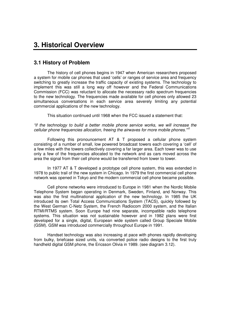# **3. Historical Overview**

### **3.1 History of Problem**

 The history of cell phones begins in 1947 when American researchers proposed a system for mobile car phones that used 'cells' or ranges of service area and frequency switching to greatly increase the traffic capacity of existing systems. The technology to implement this was still a long way off however and the Federal Communications Commission (FCC) was reluctant to allocate the necessary radio spectrum frequencies to the new technology. The frequencies made available for cell phones only allowed 23 simultaneous conversations in each service area severely limiting any potential commercial applications of the new technology.

This situation continued until 1968 when the FCC issued a statement that:

"if the technology to build a better mobile phone service works, we will increase the cellular phone frequencies allocation, freeing the airwaves for more mobile phones."<sup>6</sup>

 Following this pronouncement AT & T proposed a cellular phone system consisting of a number of small, low powered broadcast towers each covering a 'cell' of a few miles with the towers collectively covering a far larger area. Each tower was to use only a few of the frequencies allocated to the network and as cars moved across the area the signal from their cell phone would be transferred from tower to tower.

 In 1977 AT & T developed a prototype cell phone system, this was extended in 1978 to public trail of the new system in Chicago. In 1979 the first commercial cell phone network was opened in Tokyo and the modern commercial cell phone became possible.

 Cell phone networks were introduced to Europe in 1981 when the Nordic Mobile Telephone System began operating in Denmark, Sweden, Finland, and Norway. This was also the first multinational application of the new technology. In 1985 the UK introduced its own Total Access Communications System (TACS), quickly followed by the West German C-Netz System, the French Radiocom 2000 system, and the Italian RTMI/RTMS system. Soon Europe had nine separate, incompatible radio telephone systems. This situation was not sustainable however and in 1982 plans were first developed for a single, digital, European wide system called Group Speciale Mobile (GSM). GSM was introduced commercially throughout Europe in 1991.

 Handset technology was also increasing at pace with phones rapidly developing from bulky, briefcase sized units, via converted police radio designs to the first truly handheld digital GSM phone, the Ericsson Olivia in 1989. (see diagram 3.12).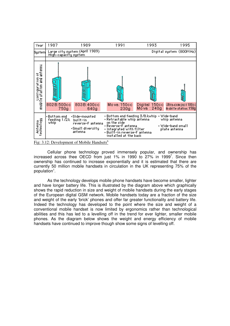

Cellular phone technology proved immensely popular, and ownership has increased across thee OECD from just 1% in 1990 to 27% in 1999<sup>7</sup>. Since then ownership has continued to increase exponentially and it is estimated that there are currently 50 million mobile handsets in circulation in the UK representing 75% of the population<sup>1</sup>.

 As the technology develops mobile phone handsets have become smaller, lighter and have longer battery life. This is illustrated by the diagram above which graphically shows the rapid reduction in size and weight of mobile handsets during the early stages of the European digital GSM network. Mobile handsets today are a fraction of the size and weight of the early 'brick' phones and offer far greater functionality and battery life. Indeed the technology has developed to the point where the size and weight of a conventional mobile handset is now limited by ergonomics rather than technological abilities and this has led to a levelling off in the trend for ever lighter, smaller mobile phones. As the diagram below shows the weight and energy efficiency of mobile handsets have continued to improve though show some signs of levelling off.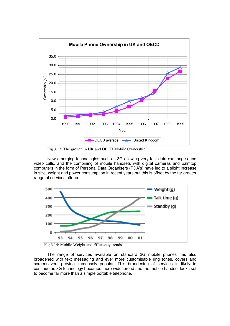

Fig 3.13: The growth in UK and OECD Mobile Ownership<sup>7</sup>

New emerging technologies such as 3G allowing very fast data exchanges and video calls, and the combining of mobile handsets with digital cameras and palmtop computers in the form of Personal Data Organisers (PDA's) have led to a slight increase in size, weight and power consumption in recent years but this is offset by the far greater range of services offered.



The range of services available on standard 2G mobile phones has also broadened with text messaging and ever more customisable ring tones, covers and screensavers proving immensely popular. This broadening of services is likely to continue as 3G technology becomes more widespread and the mobile handset looks set to become far more than a simple portable telephone.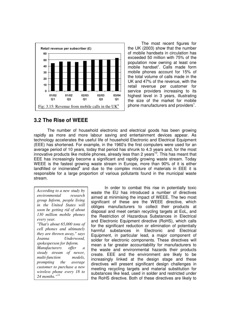

 The most recent figures for the UK (2003) show that the number of mobile handsets in circulation has exceeded 50 million with 75% of the population now owning at least one mobile handset<sup>1</sup>. Calls made form mobile phones account for 15% of the total volume of calls made in the UK and 47% of the revenue, with the retail revenue per customer for service providers increasing to its highest level in 3 years, illustrating the size of the market for mobile phone manufacturers and providers<sup>1</sup>.

# **3.2 The Rise of WEEE**

 The number of household electronic and electrical goods has been growing rapidly as more and more labour saving and entertainment devices appear. As technology accelerates the useful life of household Electronic and Electrical Equipment (EEE) has shortened. For example, in the 1960's the first computers were used for an average period of 10 years, today that period has shrunk to 4.3 years and, for the most innovative products like mobile phones, already less than 2 years<sup>10</sup>. This has meant that EEE has increasingly become a significant and rapidly growing waste stream. Today WEEE is the fastest growing waste stream in Europe, more than 90% of it is either landfilled or incinerated<sup>4</sup> and due to the complex mixture of materials in EEE it is responsible for a large proportion of various pollutants found in the municipal waste stream.

*According to a new study by environmental research group Inform, people living in the United States will soon be getting rid of about 130 million mobile phones every year. "That's about 65,000 tons of cell phones and ultimately they are thrown away," says Joanna Underwood, spokesperson for Inform. Manufacturers offer a steady stream of newer, multi-function models, prompting the average customer to purchase a new wireless phone every 18 to 24 months."*<sup>11</sup>

 In order to combat this rise in potentially toxic waste the EU has introduced a number of directives aimed at minimising the impact of WEEE. The two most significant of these are the WEEE directive, which obliges manufacturers to collect their products at disposal and meet certain recycling targets at EoL, and the Restriction of Hazardous Substances in Electrical and Electronic Equipment directive (RoHS), which calls for the significant reduction or elimination of potentially<br>harmful substances in Electronic and Electrical harmful substances in Electronic Equipment, in particular lead, a major component of solder for electronic components. These directives will mean a far greater accountability for manufacturers to the waste and environmental hazards their products create. EEE and the environment are likely to be increasingly linked at the design stage and these directives will present significant design challenges in meeting recycling targets and material substitution for substances like lead, used in solder and restricted under the RoHS directive. Both of these directives are likely to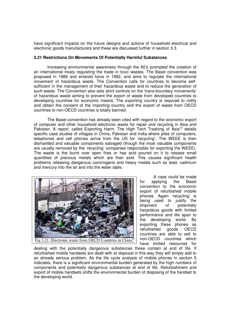have significant impacts on the future designs and actions of household electrical and electronic goods manufacturers and these are discussed further in section 3.3.

#### **3.21 Restrictions On Movements Of Potentially Harmful Substances**

 Increasing environmental awareness through the 80's prompted the creation of an international treaty regulating the trade in toxic wastes. The Basel convention was proposed in 1989 and entered force in 1992, and aims to regulate the international movement of hazardous waste. The Convention calls for countries to become selfsufficient in the management of their hazardous waste and to reduce the generation of such waste. The Convention also sets strict controls on the 'trans-boundary movements' of hazardous waste aiming to prevent the export of waste from developed countries to developing countries for economic means. The exporting country is required to notify and obtain the consent of the importing country and the export of waste from OECD countries to non-OECD countries is totally banned.

 The Basel convention has already been cited with regard to the economic export of computer and other household electronic waste for repair and recycling in Asia and Pakistan. A report, called Exporting Harm: The High Tech Trashing of Asia<sup>12</sup> details specific case studies of villages in China, Pakistan and India where piles of computers, telephones and cell phones arrive from the US for 'recycling'. The WEEE is then dismantled and valuable components salvaged (though the most valuable components are usually removed by the 'recycling' companies responsible for exporting the WEEE). The waste is the burnt over open fires or has acid poured on it to release small quantities of precious metals which are then sold. This causes significant health problems releasing dangerous carcinogens and heavy metals such as lead, cadmium and mercury into the air and into the water table.



 A case could be made for applying the Basel convention to the economic export of refurbished mobile phones. Again 'recycling' is being used to justify the shipment of potentially hazardous goods with limited performance and life span to the developing world. By exporting these phones as refurbished goods OECD countries are able to sell to non-OECD countries which have limited resources for

dealing with the potentially dangerous substances these contain at end of life. If refurbished mobile handsets are dealt with at disposal in this way they will simply add to an already serious problem. As the life cycle analysis of mobile phones in section 5 indicates, there is a significant environmental burden generated by the high numbers of components and potentially dangerous substances at end of life. Refurbishment and export of mobile handsets shifts the environmental burden of disposing of the handset to the developing world.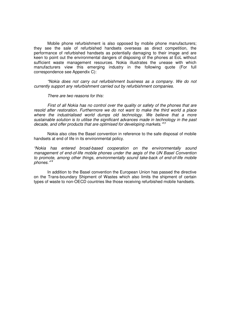Mobile phone refurbishment is also opposed by mobile phone manufacturers; they see the sale of refurbished handsets overseas as direct competition, the performance of refurbished handsets as potentially damaging to their image and are keen to point out the environmental dangers of disposing of the phones at EoL without sufficient waste management resources. Nokia illustrates the unease with which manufacturers view this emerging industry in the following quote (For full correspondence see Appendix C):

"Nokia does not carry out refurbishment business as a company. We do not currently support any refurbishment carried out by refurbishment companies.

There are two reasons for this:

 First of all Nokia has no control over the quality or safety of the phones that are resold after restoration. Furthermore we do not want to make the third world a place where the industrialised world dumps old technology. We believe that a more sustainable solution is to utilise the significant advances made in technology in the past decade, and offer products that are optimised for developing markets."<sup>13</sup>

 Nokia also cites the Basel convention in reference to the safe disposal of mobile handsets at end of life in its environmental policy.

"Nokia has entered broad-based cooperation on the environmentally sound management of end-of-life mobile phones under the aegis of the UN Basel Convention to promote, among other things, environmentally sound take-back of end-of-life mobile phones."<sup>14</sup>

 In addition to the Basel convention the European Union has passed the directive on the Trans-boundary Shipment of Wastes which also limits the shipment of certain types of waste to non-OECD countries like those receiving refurbished mobile handsets.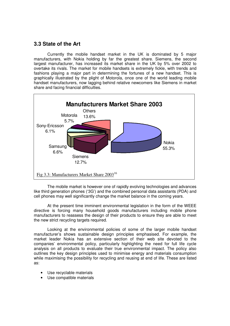# **3.3 State of the Art**

 Currently the mobile handset market in the UK is dominated by 5 major manufacturers, with Nokia holding by far the greatest share. Siemens, the second largest manufacturer, has increased its market share in the UK by 5% over 2002 to overtake its rivals. The market for mobile handsets is extremely fickle, with trends and fashions playing a major part in determining the fortunes of a new handset. This is graphically illustrated by the plight of Motorola, once one of the world leading mobile handset manufacturers, now lagging behind relative newcomers like Siemens in market share and facing financial difficulties.



 The mobile market is however one of rapidly evolving technologies and advances like third generation phones ('3G') and the combined personal data assistants (PDA) and cell phones may well significantly change the market balance in the coming years.

 At the present time imminent environmental legislation in the form of the WEEE directive is forcing many household goods manufacturers including mobile phone manufacturers to reassess the design of their products to ensure they are able to meet the new strict recycling targets required.

Looking at the environmental policies of some of the larger mobile handset manufacturer's shows sustainable design principles emphasised. For example, the market leader Nokia has an extensive section of their web site devoted to the companies' environmental policy, particularly highlighting the need for full life cycle analysis on all products to evaluate their true environmental impact. The policy also outlines the key design principles used to minimise energy and materials consumption while maximising the possibility for recycling and reusing at end of life. These are listed as:

- Use recyclable materials
- Use compatible materials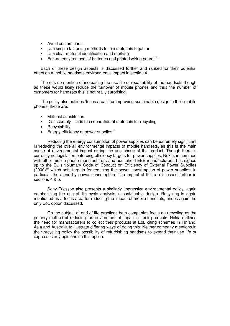- Avoid contaminants
- Use simple fastening methods to join materials together
- Use clear material identification and marking
- **•** Ensure easy removal of batteries and printed wiring boards<sup>14</sup>

Each of these design aspects is discussed further and ranked for their potential effect on a mobile handsets environmental impact in section 4.

There is no mention of increasing the use life or repairability of the handsets though as these would likely reduce the turnover of mobile phones and thus the number of customers for handsets this is not really surprising.

The policy also outlines 'focus areas' for improving sustainable design in their mobile phones, these are:

- Material substitution
- Disassembly aids the separation of materials for recycling
- Recyclability
- **•** Energy efficiency of power supplies<sup>14</sup>

Reducing the energy consumption of power supplies can be extremely significant in reducing the overall environmental impacts of mobile handsets, as this is the main cause of environmental impact during the use phase of the product. Though there is currently no legislation enforcing efficiency targets for power supplies, Nokia, in common with other mobile phone manufacturers and household EEE manufacturers, has signed up to the EU's voluntary Code of Conduct on Efficiency of External Power Supplies  $(2000)^{15}$  which sets targets for reducing the power consumption of power supplies, in particular the stand by power consumption. The impact of this is discussed further in sections 4 & 5.

Sony-Ericsson also presents a similarly impressive environmental policy, again emphasising the use of life cycle analysis in sustainable design. Recycling is again mentioned as a focus area for reducing the impact of mobile handsets, and is again the only EoL option discussed.

On the subject of end of life practices both companies focus on recycling as the primary method of reducing the environmental impact of their products. Nokia outlines the need for manufacturers to collect their products at EoL citing schemes in Finland, Asia and Australia to illustrate differing ways of doing this. Neither company mentions in their recycling policy the possibility of refurbishing handsets to extend their use life or expresses any opinions on this option.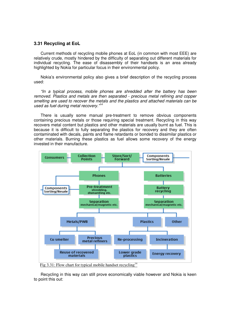#### **3.31 Recycling at EoL**

Current methods of recycling mobile phones at EoL (in common with most EEE) are relatively crude, mostly hindered by the difficulty of separating out different materials for individual recycling. The ease of disassembly of their handsets is an area already highlighted by Nokia for particular focus in their environmental policy.

Nokia's environmental policy also gives a brief description of the recycling process used:

"In a typical process, mobile phones are shredded after the battery has been removed. Plastics and metals are then separated - precious metal refining and copper smelting are used to recover the metals and the plastics and attached materials can be used as fuel during metal recovery."<sup>14</sup>

There is usually some manual pre-treatment to remove obvious components containing precious metals or those requiring special treatment. Recycling in this way recovers metal content but plastics and other materials are usually burnt as fuel. This is because it is difficult to fully separating the plastics for recovery and they are often contaminated with decals, paints and flame retardants or bonded to dissimilar plastics or other materials. Burning these plastics as fuel allows some recovery of the energy invested in their manufacture.



Fig 3.31: Flow chart for typical mobile handset recycling<sup>14</sup>

Recycling in this way can still prove economically viable however and Nokia is keen to point this out: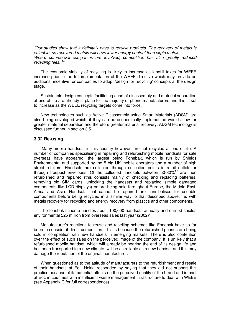"Our studies show that it definitely pays to recycle products. The recovery of metals is valuable, as recovered metals will have lower energy content than virgin metals. Where commercial companies are involved, competition has also greatly reduced recycling fees."<sup>14</sup>

The economic viability of recycling is likely to increase as landfill taxes for WEEE increase prior to the full implementation of the WEEE directive which may provide an additional incentive for companies to adopt 'design for recycling' concepts at the design stage.

Sustainable design concepts facilitating ease of disassembly and material separation at end of life are already in place for the majority of phone manufacturers and this is set to increase as the WEEE recycling targets come into force.

New technologies such as Active Disassembly using Smart Materials (ADSM) are also being developed which, if they can be economically implemented would allow far greater material separation and therefore greater material recovery. ADSM technology is discussed further in section 3.5.

#### **3.32 Re-using**

 Many mobile handsets in this country however, are not recycled at end of life. A number of companies specialising in repairing and refurbishing mobile handsets for sale overseas have appeared, the largest being Fonebak, which is run by Shields Environmental and supported by the 5 big UK mobile operators and a number of high street retailers. Handsets are collected through collection points in retail outlets or through freepost envelopes. Of the collected handsets between  $50-80\%$ <sup>17</sup> are then refurbished and repaired (this consists mainly of checking and replacing batteries, removing old SIM cards, unlocking the handsets and replacing simple damaged components like LCD displays) before being sold throughout Europe, the Middle East, Africa and Asia. Handsets that cannot be repaired are cannibalised for useable components before being recycled in a similar way to that described above, i.e. with metals recovery for recycling and energy recovery from plastics and other components.

The fonebak scheme handles about 100,000 handsets annually and earned shields environmental £25 million from overseas sales last year (2002)<sup>2</sup>.

Manufacturer's reactions to reuse and reselling schemes like Fonebak have so far been to consider it direct competition. This is because the refurbished phones are being sold in competition with new handsets in emerging markets. There is also contention over the effect of such sales on the perceived image of the company. It is unlikely that a refurbished mobile handset, which will already be nearing the end of its design life and has been transported to a new climate, will be as reliable as a new handset and this may damage the reputation of the original manufacturer.

When questioned as to the attitude of manufacturers to the refurbishment and resale of their handsets at EoL Nokia responded by saying that they did not support this practice because of its potential effects on the perceived quality of the brand and impact at EoL in countries with insufficient waste management infrastructure to deal with WEEE (see Appendix C for full correspondence).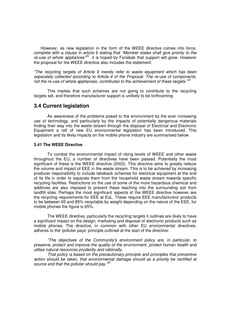However, as new legislation in the form of the WEEE directive comes into force, complete with a clause in article 6 stating that "Member states shall give priority to the  $re$ -use of whole appliances<sup> $n = 8$ </sup> it is hoped by Fonebak that support will grow. However the proposal for the WEEE directive also includes the statement:

"The recycling targets of Article 6 merely refer to waste equipment which has been separately collected according to Article 4 of the Proposal. The re-use of components, not the re-use of whole appliances, contributes to the achievement of these targets.<sup>49</sup>

 This implies that such schemes are not going to contribute to the recycling targets set, and therefore manufacturer support is unlikely to be forthcoming.

### **3.4 Current legislation**

 As awareness of the problems posed to the environment by the ever increasing use of technology, and particularly by the impacts of potentially dangerous materials finding their way into the waste stream through the disposal of Electrical and Electronic Equipment a raft of new EU environmental legislation has been introduced. This legislation and its likely impacts on the mobile phone industry are summarised below.

#### **3.41 The WEEE Directive**

To combat the environmental impact of rising levels of WEEE and other waste throughout the EU, a number of directives have been passed. Potentially the most significant of these is the WEEE directive (2003). This directive aims to greatly reduce the volume and impact of EEE in the waste stream. This is to be achieved by increasing producer responsibility to include takeback schemes for electrical equipment at the end of its life in order to separate them from the household waste stream towards specific recycling facilities. Restrictions on the use of some of the more hazardous chemical and additives are also imposed to prevent these leaching into the surrounding soil from landfill sites. Perhaps the most significant aspects of the WEEE directive however are the recycling requirements for EEE at EoL. These require EEE manufacturers' products to be between 65 and 85% recyclable by weight depending on the nature of the EEE, for mobile phones the figure is 65%.

 The WEEE directive, particularly the recycling targets it outlines are likely to have a significant impact on the design, marketing and disposal of electronic products such as mobile phones. The directive, in common with other EU environmental directives, adheres to the 'polluter pays' principle outlined at the start of the directive:

"The objectives of the Community's environment policy are, in particular, to preserve, protect and improve the quality of the environment, protect human health and utilise natural resources prudently and rationally.

That policy is based on the precautionary principle and principles that preventive action should be taken, that environmental damage should as a priority be rectified at source and that the polluter should pay.<sup>80</sup>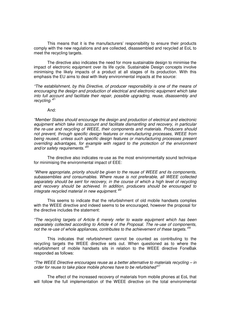This means that it is the manufacturers' responsibility to ensure their products comply with the new regulations and are collected, disassembled and recycled at EoL to meet the recycling targets.

The directive also indicates the need for more sustainable design to minimise the impact of electronic equipment over its life cycle. Sustainable Design concepts involve minimising the likely impacts of a product at all stages of its production. With this emphasis the EU aims to deal with likely environmental impacts at the source:

"The establishment, by this Directive, of producer responsibility is one of the means of encouraging the design and production of electrical and electronic equipment which take into full account and facilitate their repair, possible upgrading, reuse, disassembly and recycling."<sup>21</sup>

#### And:

"Member States should encourage the design and production of electrical and electronic equipment which take into account and facilitate dismantling and recovery, in particular the re-use and recycling of WEEE, their components and materials. Producers should not prevent, through specific design features or manufacturing processes, WEEE from being reused, unless such specific design features or manufacturing processes present overriding advantages, for example with regard to the protection of the environment and/or safety requirements.<sup>'20</sup>

 The directive also indicates re-use as the most environmentally sound technique for minimising the environmental impact of EEE:

"Where appropriate, priority should be given to the reuse of WEEE and its components, subassemblies and consumables. Where reuse is not preferable, all WEEE collected separately should be sent for recovery, in the course of which a high level of recycling and recovery should be achieved. In addition, producers should be encouraged to integrate recycled material in new equipment.<sup>"22</sup>

 This seems to indicate that the refurbishment of old mobile handsets complies with the WEEE directive and indeed seems to be encouraged, however the proposal for the directive includes the statement:

"The recycling targets of Article 6 merely refer to waste equipment which has been separately collected according to Article 4 of the Proposal. The re-use of components, not the re-use of whole appliances, contributes to the achievement of these targets. $188$ 

 This indicates that refurbishment cannot be counted as contributing to the recycling targets the WEEE directive sets out. When questioned as to where the refurbishment of mobile handsets sits in relation to the WEEE directive FoneBak responded as follows:

"The WEEE Directive encourages reuse as a better alternative to materials recycling – in order for reuse to take place mobile phones have to be refurbished"<sup>17</sup>

The effect of the increased recovery of materials from mobile phones at EoL that will follow the full implementation of the WEEE directive on the total environmental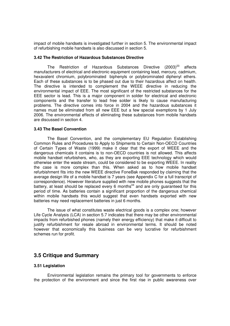impact of mobile handsets is investigated further in section 5. The environmental impact of refurbishing mobile handsets is also discussed in section 5.

#### **3.42 The Restriction of Hazardous Substances Directive**

The Restriction of Hazardous Substances Directive (2003)<sup>23</sup> affects manufacturers of electrical and electronic equipment containing lead, mercury, cadmium, hexavalent chromium, polybrominated biphenyls or polybrominated diphenyl ethers. Each of these substances is to be phased out due to their hazardous affect on health. The directive is intended to complement the WEEE directive in reducing the environmental impact of EEE. The most significant of the restricted substances for the EEE sector is lead. This is a major component in solder for electrical and electronic components and the transfer to lead free solder is likely to cause manufacturing problems. The directive comes into force in 2004 and the hazardous substances it names must be eliminated from all new EEE but a few special exemptions by 1 July 2006. The environmental effects of eliminating these substances from mobile handsets are discussed in section 4.

#### **3.43 The Basel Convention**

 The Basel Convention, and the complementary EU Regulation Establishing Common Rules and Procedures to Apply to Shipments to Certain Non-OECD Countries of Certain Types of Waste (1999) make it clear that the export of WEEE and the dangerous chemicals it contains is to non-OECD countries is not allowed. This affects mobile handset refurbishers, who, as they are exporting EEE technology which would otherwise enter the waste stream, could be considered to be exporting WEEE. In reality the case is more complex than this. When asked as to how mobile handset refurbishment fits into the new WEEE directive FoneBak responded by claiming that the average design life of a mobile handset is 7 years (see Appendix C for a full transcript of correspondence). However literature supplied with new mobile phones suggests that the battery, at least should be replaced every 6 months<sup>44</sup> and are only quaranteed for this period of time. As batteries contain a significant proportion of the dangerous chemical within mobile handsets this would suggest that even handsets exported with new batteries may need replacement batteries in just 6 months.

 The issue of what constitutes waste electrical goods is a complex one; however Life Cycle Analysis (LCA) in section 5.7 indicates that there may be other environmental impacts from refurbished phones (namely their energy efficiency) that make it difficult to justify refurbishment for resale abroad in environmental terms. It should be noted however that economically this business can be very lucrative for refurbishment schemes run for profit.

# **3.5 Critique and Summary**

#### **3.51 Legislation**

 Environmental legislation remains the primary tool for governments to enforce the protection of the environment and since the first rise in public awareness over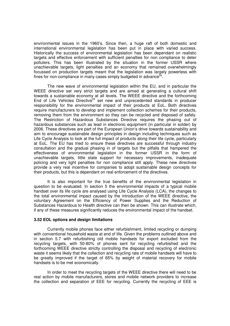environmental issues in the 1960's. Since then, a huge raft of both domestic and international environmental legislation has been put in place with varied success. Historically the success of environmental legislation has been dependant on realistic targets and effective enforcement with sufficient penalties for non compliance to deter polluters. This has been illustrated by the situation in the former USSR where unachievable targets, light penalties and an economy that remained overwhelmingly focussed on production targets meant that the legislation was largely powerless with fines for non-compliance in many cases simply budgeted in advance $^{24}$ .

 The new wave of environmental legislation within the EU, and in particular the WEEE directive set very strict targets and are aimed at generating a cultural shift towards a sustainable economy at all levels. The WEEE directive and the forthcoming End of Life Vehicles Directive<sup>25</sup> set new and unprecedented standards in producer responsibility for the environmental impact of their products at EoL. Both directives require manufacturers to develop and implement collection schemes for their products, removing them from the environment so they can be recycled and disposed of safely. The Restriction of Hazardous Substances Directive requires the phasing out of hazardous substances such as lead in electronic equipment (in particular in solder) by 2006. These directives are part of the European Union's drive towards sustainability and aim to encourage sustainable design principles in design including techniques such as Life Cycle Analysis to look at the full impact of products along their life cycle, particularly at EoL. The EU has tried to ensure these directives are successful through industry consultation and the gradual phasing in of targets but the pitfalls that hampered the effectiveness of environmental legislation in the former USSR in the form of unachievable targets, little state support for necessary improvements, inadequate policing and very light penalties for non compliance still apply. These new directives provide a very real incentive for companies to adopt sustainable design concepts for their products, but this is dependant on real enforcement of the directives.

 It is also important for the true benefits of the environmental legislation in question to be evaluated. In section 5 the environmental impacts of a typical mobile handset over its life cycle are analysed using Life Cycle Analysis (LCA), the changes to the total environmental impact caused by the introduction of the WEEE directive, the voluntary Agreement on the Efficiency of Power Supplies and the Reduction of Substances Hazardous to Health directive can then be shown. This can illustrate which, if any of these measures significantly reduces the environmental impact of the handset.

#### **3.52 EOL options and design limitations**

 Currently mobile phones face either refurbishment, limited recycling or dumping with conventional household waste at end of life. Given the problems outlined above and in section 5.7 with refurbishing old mobile handsets for export excluded from the recycling targets, with 50-80% of phones sent for recycling refurbished and the forthcoming WEEE directive strictly controlling the disposal and recycling of electronic waste it seems likely that the collection and recycling rate of mobile handsets will have to be greatly improved if the target of 65% by weight of material recovery for mobile handsets is to be met economically.

 In order to meet the recycling targets of the WEEE directive there will need to be real action by mobile manufacturers, stores and mobile network providers to increase the collection and separation of EEE for recycling. Currently the recycling of EEE is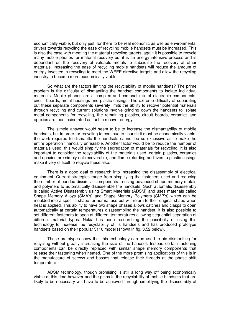economically viable, but only just, for there to be real economic as well as environmental drivers towards recycling the ease of recycling mobile handsets must be increased. This is also the case with meeting the material recycling targets, again it is possible to recycle many mobile phones for material recovery but it is an energy intensive process and is dependant on the recovery of valuable metals to subsidise the recovery of other materials. Increasing the ease of recycling mobile handsets will reduce the amount of energy invested in recycling to meet the WEEE directive targets and allow the recycling industry to become more economically viable.

 So what are the factors limiting the recyclability of mobile handsets? The prime problem is the difficulty of dismantling the handset components to isolate individual materials. Mobile phones are a complex and compact mix of electronic components, circuit boards, metal housings and plastic casings. The extreme difficulty of separating out these separate components severely limits the ability to recover potential materials through recycling and current solutions involve grinding down the handsets to isolate metal components for recycling, the remaining plastics, circuit boards, ceramics and epoxies are then incinerated as fuel to recover energy.

 The simple answer would seem to be to increase the dismantability of mobile handsets, but in order for recycling to continue to flourish it must be economically viable, the work required to dismantle the handsets cannot be so excessive as to make the entire operation financially unfeasible. Another factor would be to reduce the number of materials used; this would simplify the segregation of materials for recycling. It is also important to consider the recyclability of the materials used, certain plastics, ceramics and epoxies are simply not recoverable, and flame retarding additives to plastic casings make it very difficult to recycle these also.

 There is a good deal of research into increasing the disassembly of electrical equipment. Current strategies range from simplifying the fasteners used and reducing the number of bonded dissimilar components to using advanced shape memory metals and polymers to automatically disassemble the handsets. Such automatic disassembly is called Active Disassembly using Smart Materials (ADSM) and uses materials called Shape Memory Alloys (SMA's) and Shape Memory Polymers (SMP's) which can be moulded into a specific shape for normal use but will return to their original shape when heat is applied. This ability to have two shape phases allows catches and clasps to open automatically at certain temperatures disassembling the handset. It is also possible to set different fasteners to open at different temperatures allowing sequential separation of different material types. Nokia has been researching the possibility of using this technology to increase the recyclability of its handsets and has produced prototype handsets based on their popular 5110 model (shown in fig. 3.52 below).

 These prototypes show that this technology can be used to aid dismantling for recycling without greatly increasing the size of the handset. Instead certain fastening components can be directly replaced with similar shape memory components that release their fastening when heated. One of the more promising applications of this is in the manufacture of screws and bosses that release their threads at the phase shift temperature.

ADSM technology, though promising is still a long way off being economically viable at this time however and the gains in the recyclability of mobile handsets that are likely to be necessary will have to be achieved through simplifying the disassembly of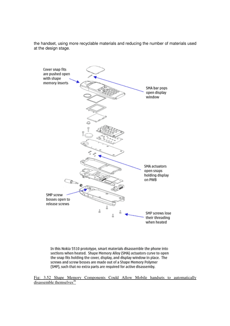the handset, using more recyclable materials and reducing the number of materials used at the design stage.



In this Nokia 5510 prototype, smart materials disassemble the phone into sections when heated. Shape Memory Alloy (SMA) actuators curve to open the snap fits holding the cover, display, and display window in place. The screws and screw bosses are made out of a Shape Memory Polymer (SMP), such that no extra parts are required for active disassemby.

Fig: 3.52 Shape Memory Components Could Allow Mobile handsets to automatically  $disssemble themselves<sup>26</sup>$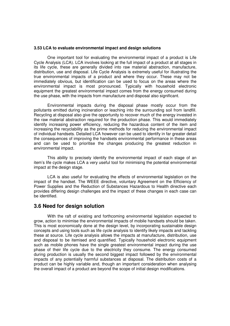#### **3.53 LCA to evaluate environmental impact and design solutions**

 One important tool for evaluating the environmental impact of a product is Life Cycle Analysis (LCA). LCA involves looking at the full impact of a product at all stages in its life cycle, these are generally divided into raw material abstraction, manufacture, distribution, use and disposal. Life Cycle Analysis is extremely useful for illustrating the true environmental impacts of a product and where they occur. These may not be immediately obvious, but identification can be used to focus on the areas where the environmental impact is most pronounced. Typically with household electronic equipment the greatest environmental impact comes from the energy consumed during the use phase, with the impacts from manufacture and disposal also significant.

Environmental impacts during the disposal phase mostly occur from the pollutants emitted during incineration or leaching into the surrounding soil from landfill. Recycling at disposal also give the opportunity to recover much of the energy invested in the raw material abstraction required for the production phase. This would immediately identify increasing power efficiency, reducing the hazardous content of the item and increasing the recyclability as the prime methods for reducing the environmental impact of individual handsets. Detailed LCA however can be used to identify in far greater detail the consequences of improving the handsets environmental performance in these areas and can be used to prioritise the changes producing the greatest reduction in environmental impact.

 This ability to precisely identify the environmental impact of each stage of an item's life cycle makes LCA a very useful tool for minimising the potential environmental impact at the design stage.

 LCA is also useful for evaluating the effects of environmental legislation on the impact of the handset. The WEEE directive, voluntary Agreement on the Efficiency of Power Supplies and the Reduction of Substances Hazardous to Health directive each provides differing design challenges and the impact of these changes in each case can be identified.

### **3.6 Need for design solution**

 With the raft of existing and forthcoming environmental legislation expected to grow, action to minimise the environmental impacts of mobile handsets should be taken. This is most economically done at the design level, by incorporating sustainable design concepts and using tools such as life cycle analysis to identify likely impacts and tackling these at source. Life cycle analysis allows the impacts at manufacture, distribution, use and disposal to be itemised and quantified. Typically household electronic equipment such as mobile phones have the single greatest environmental impact during the use phase of their life cycle due to the electricity they consume. The energy consumed during production is usually the second biggest impact followed by the environmental impacts of any potentially harmful substances at disposal. The distribution costs of a product can be highly variable and, though an important consideration when analysing the overall impact of a product are beyond the scope of initial design modifications.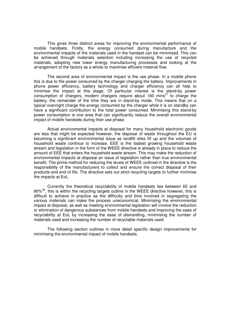This gives three distinct areas for improving the environmental performance of mobile handsets. Firstly, the energy consumed during manufacture and the environmental impacts of the materials used in the handset can be minimised. This can be achieved through materials selection including increasing the use of recycled materials, adopting new lower energy manufacturing processes and looking at the arrangement of the factory as a whole to maximise efficient material flow.

 The second area of environmental impact is the use phase. In a mobile phone this is due to the power consumed by the charger charging the battery. Improvements in phone power efficiency, battery technology and charger efficiency can all help to minimise the impact at this stage. Of particular interest is the stand-by power consumption of chargers, modern chargers require about  $160 \text{ mins}^{27}$  to charge the battery, the remainder of the time they are in stand-by mode. This means that on a typical overnight charge the energy consumed by the charger while it is on standby can have a significant contribution to the total power consumed. Minimising this stand-by power consumption is one area that can significantly reduce the overall environmental impact of mobile handsets during their use phase.

 Actual environmental impacts at disposal for many household electronic goods are less that might be expected however, the disposal of waste throughout the EU is becoming a significant environmental issue as landfill sites fill up and the volumes of household waste continue to increase. EEE is the fastest growing household waste stream and legislation in the form of the WEEE directive is already in place to reduce the amount of EEE that enters the household waste stream. This may make the reduction of environmental impacts at disposal an issue of legislation rather than true environmental benefit. The prime method for reducing the levels of WEEE outlined in the directive is the responsibility of the manufacturers to collect and ensure the correct disposal of their products and end of life. The directive sets out strict recycling targets to further minimise the impacts at EoL.

 Currently the theoretical recyclability of mobile handsets lies between 65 and  $80\%$ <sup>28</sup>, this is within the recycling targets outline in the WEEE directive however, this is difficult to achieve in practice as the difficulty and time involved in segregating the various materials can make the process uneconomical. Minimising the environmental impact at disposal, as well as meeting environmental legislation will involve the reduction or elimination of dangerous substances from mobile handsets and improving the ease of recyclability at EoL by increasing the ease of dismantling, minimising the number of materials used and increasing the number of recyclable materials used.

 The following section outlines in more detail specific design improvements for minimising the environmental impact of mobile handsets.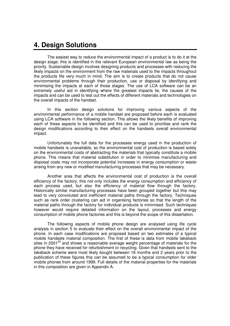# **4. Design Solutions**

 The easiest way to reduce the environmental impact of a product is to do it at the design stage; this is identified in the relevant European environmental law as being the priority. Sustainable design involves designing products and processes with reducing the likely impacts on the environment from the raw materials used to the impacts throughout the products life very much in mind. The aim is to create products that do not cause environmental problems through their production, use or disposal by identifying and minimising the impacts at each of those stages. The use of LCA software can be an extremely useful aid in identifying where the greatest impacts lie, the causes of the impacts and can be used to test out the effects of different materials and technologies on the overall impacts of the handset.

 In this section design solutions for improving various aspects of the environmental performance of a mobile handset are proposed before each is evaluated using LCA software in the following section. This allows the likely benefits of improving each of these aspects to be identified and this can be used to prioritise and rank the design modifications according to their effect on the handsets overall environmental impact.

 Unfortunately the full data for the processes energy used in the production of mobile handsets is unavailable, so the environmental cost of production is based solely on the environmental costs of abstracting the materials that typically constitute a mobile phone. This means that material substitution in order to minimise manufacturing and disposal costs may not incorporate potential increases in energy consumption or waste arising from any new or modified manufacturing processes that may be necessary.

 Another area that affects the environmental cost of production is the overall efficiency of the factory, this not only includes the energy consumption and efficiency of each process used, but also the efficiency of material flow through the factory. Historically similar manufacturing processes have been grouped together but this may lead to very convoluted and inefficient material paths through the factory. Techniques such as rank order clustering can aid in organising factories so that the length of the material paths through the factory for individual products is minimised. Such techniques however would require detailed information on the layout, processes and energy consumption of mobile phone factories and this is beyond the scope of this dissertation.

 The following aspects of mobile phone design are analysed using life cycle analysis in section 5 to evaluate their effect on the overall environmental impact of the phone. In each case modifications are proposed based on two estimates of a typical mobile handsets material composition. The first of these is data from mobile takeback sites in 2001 $29$  and shows a reasonable average weight percentage of materials for the phone they have received for refurbishment or recycling. Given that handsets sent to the takeback scheme were most likely bought between 18 months and 2 years prior to the publication of these figures this can be assumed to be a typical consumption for older mobile phones from around 1999. Full details of the material properties for the materials in this composition are given in Appendix A.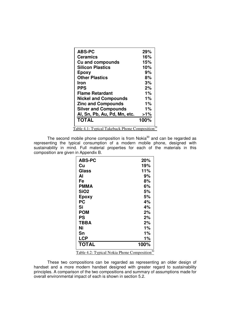| <b>ABS-PC</b>                                 | 29%    |
|-----------------------------------------------|--------|
| <b>Ceramics</b>                               | 16%    |
| <b>Cu and compounds</b>                       | 15%    |
| <b>Silicon Plastics</b>                       | 10%    |
| Epoxy                                         | 9%     |
| <b>Other Plastics</b>                         | 8%     |
| Iron                                          | 3%     |
| <b>PPS</b>                                    | 2%     |
| <b>Flame Retardant</b>                        | 1%     |
| <b>Nickel and Compounds</b>                   | $1\%$  |
| <b>Zinc and Compounds</b>                     | 1%     |
| <b>Silver and Compounds</b>                   | 1%     |
| Al, Sn, Pb, Au, Pd, Mn, etc.                  | $>1\%$ |
| <b>TOTAL</b>                                  | 100%   |
| Table 4.1: Typical Takeback Phone Composition |        |

The second mobile phone composition is from Nokia $30$  and can be regarded as representing the typical consumption of a modern mobile phone, designed with sustainability in mind. Full material properties for each of the materials in this composition are given in Appendix B.

| <b>ABS-PC</b> | 20%  |
|---------------|------|
| Cu            | 19%  |
| Glass         | 11%  |
| Αl            | 9%   |
| Fe            | 8%   |
| <b>PMMA</b>   | 6%   |
| <b>SiO2</b>   | 5%   |
| <b>Epoxy</b>  | 5%   |
| PC            | 4%   |
| Si            | 4%   |
| <b>POM</b>    | 2%   |
| PS            | 2%   |
| TBBA          | 2%   |
| Ni            | 1%   |
| Sn            | 1%   |
| <b>LCP</b>    | 1%   |
| <b>TOTAL</b>  | 100% |

Table 4.2: Typical Nokia Phone Composition<sup>30</sup>

These two compositions can be regarded as representing an older design of handset and a more modern handset designed with greater regard to sustainability principles. A comparison of the two compositions and summary of assumptions made for overall environmental impact of each is shown in section 5.2.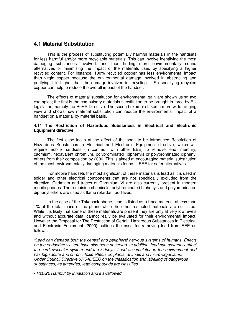### **4.1 Material Substitution**

 This is the process of substituting potentially harmful materials in the handsets for less harmful and/or more recyclable materials. This can involve identifying the most damaging substances involved, and then finding more environmentally sound alternatives or minimising the impact of the materials used by specifying a higher recycled content. For instance, 100% recycled copper has less environmental impact than virgin copper because the environmental damage involved in abstracting and purifying it is higher than the damage involved in recycling it. So specifying recycled copper can help to reduce the overall impact of the handset.

The effects of material substitution for environmental gain are shown using two examples; the first is the compulsory materials substitution to be brought in force by EU legislation, namely the RoHS Directive. The second example takes a more wide ranging view and shows how material substitution can reduce the environmental impact of a handset on a material by material basis.

#### **4.11 The Restriction of Hazardous Substances in Electrical and Electronic Equipment directive**

 The first case looks at the effect of the soon to be introduced Restriction of Hazardous Substances in Electrical and Electronic Equipment directive, which will require mobile handsets (in common with other EEE) to remove lead, mercury, cadmium, hexavalent chromium, polybrominated biphenyls or polybrominated diphenyl ethers from their composition by 2006. This is aimed at encouraging material substitution of the most environmentally damaging materials found in EEE for safer alternatives.

For mobile handsets the most significant of these materials is lead as it is used in solder and other electrical components that are not specifically excluded from the directive. Cadmium and traces of Chromium VI are also currently present in modern mobile phones. The remaining chemicals, polybrominated biphenyls and polybrominated diphenyl ethers are used as flame retardant additives.

In the case of the Takeback phone, lead is listed as a trace material at less than 1% of the total mass of the phone while the other restricted materials are not listed. While it is likely that some of these materials are present they are only at very low levels and without accurate data, cannot really be evaluated for their environmental impact. However the Proposal for The Restriction of Certain Hazardous Substances in Electrical and Electronic Equipment (2000) outlines the case for removing lead from EEE as follows:

"Lead can damage both the central and peripheral nervous systems of humans. Effects on the endocrine system have also been observed. In addition, lead can adversely affect the cardiovascular system and the kidneys. Lead accumulates in the environment and has high acute and chronic toxic effects on plants, animals and micro-organisms. Under Council Directive 67/548/EEC on the classification and labelling of dangerous substances, as amended, lead compounds are classified:

- R20/22 Harmful by inhalation and if swallowed,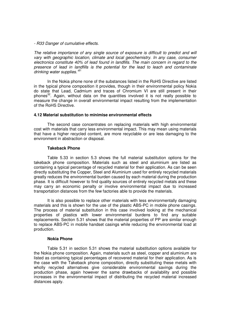#### - R33 Danger of cumulative effects.

The relative importance of any single source of exposure is difficult to predict and will vary with geographic location, climate and local geochemistry. In any case, consumer electronics constitute 40% of lead found in landfills. The main concern in regard to the presence of lead in landfills is the potential for the lead to leach and contaminate drinking water supplies.<sup>'81</sup>

In the Nokia phone none of the substances listed in the RoHS Directive are listed in the typical phone composition it provides, though in their environmental policy Nokia do state that Lead, Cadmium and traces of Chromium VI are still present in their phones<sup>32</sup>. Again, without data on the quantities involved it is not really possible to measure the change in overall environmental impact resulting from the implementation of the RoHS Directive.

#### **4.12 Material substitution to minimise environmental effects**

 The second case concentrates on replacing materials with high environmental cost with materials that carry less environmental impact. This may mean using materials that have a higher recycled content, are more recyclable or are less damaging to the environment in abstraction or disposal.

#### **Takeback Phone**

 Table 5.33 in section 5.3 shows the full material substitution options for the takeback phone composition. Materials such as steel and aluminium are listed as containing a typical percentage of recycled material for their application. As can be seen directly substituting the Copper, Steel and Aluminium used for entirely recycled materials greatly reduces the environmental burden caused by each material during the production phase. It is difficult however to find quality sources of entirely recycled metals and these may carry an economic penalty or involve environmental impact due to increased transportation distances from the few factories able to provide the materials.

 It is also possible to replace other materials with less environmentally damaging materials and this is shown for the use of the plastic ABS-PC in mobile phone casings. The process of material substitution in this case involved looking at the mechanical properties of plastics with lower environmental burdens to find any suitable replacements. Section 5.31 shows that the material properties of PP are similar enough to replace ABS-PC in mobile handset casings while reducing the environmental load at production.

#### **Nokia Phone**

 Table 5.31 in section 5.31 shows the material substitution options available for the Nokia phone composition. Again, materials such as steel, copper and aluminium are listed as containing typical percentages of recovered material for their application. As is the case with the Takeback phone composition, directly substituting these metals with wholly recycled alternatives give considerable environmental savings during the production phase, again however the same drawbacks of availability and possible increases in the environmental impact of distributing the recycled material increased distances apply.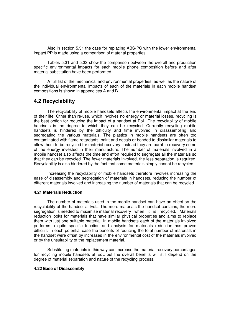Also in section 5.31 the case for replacing ABS-PC with the lower environmental impact PP is made using a comparison of material properties.

Tables 5.31 and 5.33 show the comparison between the overall and production specific environmental impacts for each mobile phone composition before and after material substitution have been performed.

A full list of the mechanical and environmental properties, as well as the nature of the individual environmental impacts of each of the materials in each mobile handset compositions is shown in appendices A and B.

### **4.2 Recyclability**

 The recyclability of mobile handsets affects the environmental impact at the end of their life. Other than re-use, which involves no energy or material losses, recycling is the best option for reducing the impact of a handset at EoL. The recyclability of mobile handsets is the degree to which they can be recycled. Currently recycling mobile handsets is hindered by the difficulty and time involved in disassembling and segregating the various materials. The plastics in mobile handsets are often too contaminated with flame retardants, paint and decals or bonded to dissimilar materials to allow them to be recycled for material recovery; instead they are burnt to recovery some of the energy invested in their manufacture. The number of materials involved in a mobile handset also affects the time and effort required to segregate all the materials so that they can be recycled. The fewer materials involved, the less separation is required. Recyclability is also hindered by the fact that some materials simply cannot be recycled.

 Increasing the recyclability of mobile handsets therefore involves increasing the ease of disassembly and segregation of materials in handsets, reducing the number of different materials involved and increasing the number of materials that can be recycled.

#### **4.21 Materials Reduction**

 The number of materials used in the mobile handset can have an effect on the recyclability of the handset at EoL. The more materials the handset contains, the more segregation is needed to maximise material recovery when it is recycled. Materials reduction looks for materials that have similar physical properties and aims to replace them with just one suitable material. In mobile handsets each of the materials involved performs a quite specific function and analysis for materials reduction has proved difficult. In each potential case the benefits of reducing the total number of materials in the handset were offset by increases in the environmental cost of the materials involved or by the unsuitability of the replacement material.

 Substituting materials in this way can increase the material recovery percentages for recycling mobile handsets at EoL but the overall benefits will still depend on the degree of material separation and nature of the recycling process.

#### **4.22 Ease of Disassembly**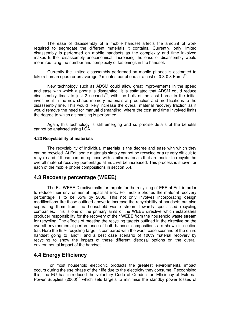The ease of disassembly of a mobile handset affects the amount of work required to segregate the different materials it contains. Currently, only limited disassembly is performed on mobile handsets as the complexity and time involved makes further disassembly uneconomical. Increasing the ease of disassembly would mean reducing the number and complexity of fastenings in the handset.

 Currently the limited disassembly performed on mobile phones is estimated to take a human operator on average 2 minutes per phone at a cost of 0.3-0.8 Euros<sup>33</sup>.

 New technology such as ADSM could allow great improvements in the speed and ease with which a phone is dismantled. It is estimated that ADSM could reduce disassembly times to just 2 seconds<sup>33</sup>, with the bulk of the cost borne in the initial investment in the new shape memory materials at production and modifications to the disassembly line. This would likely increase the overall material recovery fraction as it would remove the need for manual dismantling; where the cost and time involved limits the degree to which dismantling is performed.

 Again, this technology is still emerging and so precise details of the benefits cannot be analysed using LCA.

#### **4.23 Recyclability of materials**

 The recyclability of individual materials is the degree and ease with which they can be recycled. At EoL some materials simply cannot be recycled or a re very difficult to recycle and if these can be replaced with similar materials that are easier to recycle the overall material recovery percentage at EoL will be increased. This process is shown for each of the mobile phone compositions in section 5.4.

### **4.3 Recovery percentage (WEEE)**

 The EU WEEE Directive calls for targets for the recycling of EEE at EoL in order to reduce their environmental impact at EoL. For mobile phones the material recovery percentage is to be 65% by 2006. This not only involves incorporating design modifications like those outlined above to increase the recyclability of handsets but also separating them from the household waste stream towards specialised recycling companies. This is one of the primary aims of the WEEE directive which establishes producer responsibility for the recovery of their WEEE from the household waste stream for recycling. The effects of meeting the recycling targets outlined in the directive on the overall environmental performance of both handset compositions are shown in section 5.5. Here the 65% recycling target is compared with the worst case scenario of the entire handset going to landfill and a best case scenario of 100% material recovery by recycling to show the impact of these different disposal options on the overall environmental impact of the handset.

### **4.4 Energy Efficiency**

 For most household electronic products the greatest environmental impact occurs during the use phase of their life due to the electricity they consume. Recognising this, the EU has introduced the voluntary Code of Conduct on Efficiency of External Power Supplies  $(2000)^{15}$  which sets targets to minimise the standby power losses of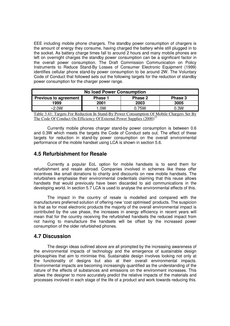EEE including mobile phone chargers. The standby power consumption of chargers is the amount of energy they consume, having charged the battery while still plugged in to the socket. As battery charge times fall to around 2 hours and many mobile phones are left on overnight charges the standby power consumption can be a significant factor in the overall power consumption. The Draft Commission Communication on Policy Instruments to Reduce Stand-By Losses of Consumer Electronic Equipment (1999) identifies cellular phone stand-by power consumption to be around 2W. The Voluntary Code of Conduct that followed sets out the following targets for the reduction of standby power consumption for the charger power range.

| <b>No load Power Consumption</b>                         |                |         |         |  |
|----------------------------------------------------------|----------------|---------|---------|--|
| Previous to agreement '                                  | <b>Phase 1</b> | Phase 2 | Phase 3 |  |
| 2003<br>2001<br>1999                                     |                |         | 3005    |  |
| $\sim$ 2.0W                                              | .0W            | 0.75W   | 0.3W    |  |
| 0.03111101<br>$m + 1 - 2 + m$<br>$\sim$<br>$\sim$ $\sim$ |                |         |         |  |

Table 3.41: Targets For Reduction In Stand-By Power Consumption Of Mobile Chargers Set By The Code Of Conduct On Efficiency Of External Power Supplies (2000)<sup>15</sup>

Currently mobile phones charger stand-by power consumption is between 0.6 and 0.3W which meets the targets the Code of Conduct sets out. The effect of these targets for reduction in stand-by power consumption on the overall environmental performance of the mobile handset using LCA is shown in section 5.6.

# **4.5 Refurbishment for Resale**

 Currently a popular EoL option for mobile handsets is to send them for refurbishment and resale abroad. Companies involved in schemes like these offer incentives like small donations to charity and discounts on new mobile handsets. The refurbishers emphasise their environmental credentials claiming that this reuse allows handsets that would previously have been discarded to aid communications in the developing world. In section 5.7 LCA is used to analyse the environmental effects of this.

The impact in the country of resale is modelled and compared with the manufacturers preferred solution of offering new 'cost optimised' products. The suspicion is that as for most electronic products the majority of the overall environmental impact is contributed by the use phase, the increases in energy efficiency in recent years will mean that for the country receiving the refurbished handsets the reduced impact from not having to manufacture the handsets will be offset by the increased power consumption of the older refurbished phones.

# **4.7 Discussion**

 The design ideas outlined above are all prompted by the increasing awareness of the environmental impacts of technology and the emergence of sustainable design philosophies that aim to minimise this. Sustainable design involves looking not only at the functionality of designs but also at their overall environmental impacts. Environmental impacts are becoming increasingly quantified as the understanding of the nature of the effects of substances and emissions on the environment increases. This allows the designer to more accurately predict the relative impacts of the materials and processes involved in each stage of the life of a product and work towards reducing this.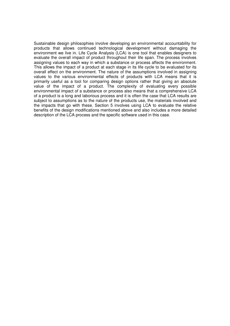Sustainable design philosophies involve developing an environmental accountability for products that allows continued technological development without damaging the environment we live in. Life Cycle Analysis (LCA) is one tool that enables designers to evaluate the overall impact of product throughout their life span. The process involves assigning values to each way in which a substance or process affects the environment. This allows the impact of a product at each stage in its life cycle to be evaluated for its overall effect on the environment. The nature of the assumptions involved in assigning values to the various environmental effects of products with LCA means that it is primarily useful as a tool for comparing design options rather that giving an absolute value of the impact of a product. The complexity of evaluating every possible environmental impact of a substance or process also means that a comprehensive LCA of a product is a long and laborious process and it is often the case that LCA results are subject to assumptions as to the nature of the products use, the materials involved and the impacts that go with these. Section 5 involves using LCA to evaluate the relative benefits of the design modifications mentioned above and also includes a more detailed description of the LCA process and the specific software used in this case.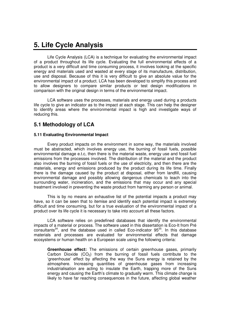# **5. Life Cycle Analysis**

Life Cycle Analysis (LCA) is a technique for evaluating the environmental impact of a product throughout its life cycle. Evaluating the full environmental effects of a product is a very difficult and time consuming process, it involves looking at the specific energy and materials used and wasted at every stage of its manufacture, distribution, use and disposal. Because of this it is very difficult to give an absolute value for the environmental impact of a product. LCA has been developed to simplify this process and to allow designers to compare similar products or test design modifications in comparison with the original design in terms of the environmental impact.

LCA software uses the processes, materials and energy used during a products life cycle to give an indicator as to the impact at each stage. This can help the designer to identify areas where the environmental impact is high and investigate ways of reducing this.

# **5.1 Methodology of LCA**

#### **5.11 Evaluating Environmental Impact**

 Every product impacts on the environment in some way, the materials involved must be abstracted, which involves energy use, the burning of fossil fuels, possible environmental damage e.t.c, then there is the material waste, energy use and fossil fuel emissions from the processes involved. The distribution of the material and the product also involves the burning of fossil fuels or the use of electricity, and then there are the materials, energy and emissions produced by the product during its life time. Finally there is the damage caused by the product at disposal, either from landfill, causing environmental damage and possibly allowing dangerous chemicals to leach into the surrounding water, incineration, and the emissions that may occur and any special treatment involved in preventing the waste product from harming any person or animal.

 This is by no means an exhaustive list of the potential impacts a product may have, so it can be seen that to itemise and identify each potential impact is extremely difficult and time consuming, but for a true evaluation of the environmental impact of a product over its life cycle it is necessary to take into account all these factors.

 LCA software relies on predefined databases that identify the environmental impacts of a material or process. The software used in this dissertation is Eco-It from Pré consultants $34$ , and the database used in called Eco-indicator  $95^{35}$ . In this database materials and processes are evaluated for environmental effects that damage ecosystems or human health on a European scale using the following criteria:

**Greenhouse effect:** The emissions of certain greenhouse gases, primarily Carbon Dioxide  $(CO<sub>2</sub>)$  from the burning of fossil fuels contribute to the 'greenhouse' effect by affecting the way the Suns energy is retained by the atmosphere. Increasing quantities of greenhouse gases from increasing industrialisation are acting to insulate the Earth, trapping more of the Suns energy and causing the Earth's climate to gradually warm. This climate change is likely to have far reaching consequences in the future, affecting global weather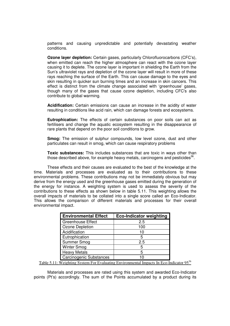patterns and causing unpredictable and potentially devastating weather conditions.

**Ozone layer depletion:** Certain gases, particularly Chlorofluorocarbons (CFC's), when emitted can reach the higher atmosphere can react with the ozone layer causing it to deplete. The ozone layer is important in shielding the Earth from the Sun's ultraviolet rays and depletion of the ozone layer will result in more of these rays reaching the surface of the Earth. This can cause damage to the eyes and skin resulting in quicker sun burning times and an increase in skin cancers. This effect is distinct from the climate change associated with 'greenhouse' gases, though many of the gases that cause ozone depletion, including CFC's also contribute to global warming.

**Acidification:** Certain emissions can cause an increase in the acidity of water resulting in conditions like acid rain, which can damage forests and ecosystems.

**Eutrophication:** The effects of certain substances on poor soils can act as fertilisers and change the aquatic ecosystem resulting in the disappearance of rare plants that depend on the poor soil conditions to grow.

**Smog:** The emission of sulphur compounds, low level ozone, dust and other particulates can result in smog, which can cause respiratory problems

**Toxic substances:** This includes substances that are toxic in ways other than those described above, for example heavy metals, carcinogens and pesticides<sup>36</sup>.

 These effects and their causes are evaluated to the best of the knowledge at the time. Materials and processes are evaluated as to their contributions to these environmental problems. These contributions may not be immediately obvious but may derive from the energy used and the greenhouse gases emitted during the generation of the energy for instance. A weighting system is used to assess the severity of the contributions to these effects as shown below in table 5.11. This weighting allows the overall impacts of materials to be collated into a single score called an Eco-Indicator. This allows the comparison of different materials and processes for their overall environmental impact.

| <b>Environmental Effect</b> | <b>Eco-Indicator weighting</b> |
|-----------------------------|--------------------------------|
| <b>Greenhouse Effect</b>    | 2.5                            |
| Ozone Depletion             | 100                            |
| Acidification               | 10                             |
| Eutrophication              | 5                              |
| Summer Smog                 | 2.5                            |
| <b>Winter Smog</b>          | 5                              |
| <b>Heavy Metals</b>         | 5                              |
| Carcinogenic Substances     |                                |

Table 5.11: Weighting System For Evaluating Environmental Impacts In Eco-Indicator 95<sup>36</sup>

Materials and processes are rated using this system and awarded Eco-Indicator points (Pt's) accordingly. The sum of the Points accumulated by a product during its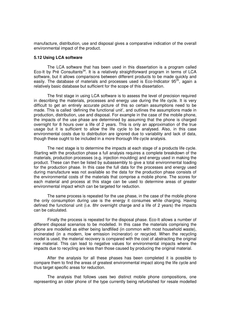manufacture, distribution, use and disposal gives a comparative indication of the overall environmental impact of the product.

#### **5.12 Using LCA software**

 The LCA software that has been used in this dissertation is a program called Eco-It by Pré Consultants<sup>34</sup>. It is a relatively straightforward program in terms of LCA software, but it allows comparisons between different products to be made quickly and easily. The database of materials and processes used is Eco-Indicator 95<sup>35</sup>, again a relatively basic database but sufficient for the scope of this dissertation.

 The first stage in using LCA software is to assess the level of precision required in describing the materials, processes and energy use during the life cycle. It is very difficult to get an entirely accurate picture of this so certain assumptions need to be made. This is called 'defining the functional unit', and outlines the assumptions made in production, distribution, use and disposal. For example in the case of the mobile phone, the impacts of the use phase are determined by assuming that the phone is charged overnight for 8 hours over a life of 2 years. This is only an approximation of the true usage but it is sufficient to allow the life cycle to be analysed. Also, in this case environmental costs due to distribution are ignored due to variability and lack of data, though these ought to be included in a more thorough life cycle analysis.

 The next stage is to determine the impacts at each stage of a products life cycle. Starting with the production phase a full analysis requires a complete breakdown of the materials, production processes (e.g. injection moulding) and energy used in making the product. These can then be listed by subassembly to give a total environmental loading for the production phase. In this case the full data for the processes and energy used during manufacture was not available so the data for the production phase consists of the environmental costs of the materials that comprise a mobile phone. The scores for each material and process at this stage can be used to determine areas of greater environmental impact which can be targeted for reduction.

 The same process is repeated for the use phase, in the case of the mobile phone the only consumption during use is the energy it consumes while charging. Having defined the functional unit (i.e. 8hr overnight charge and a life of 2 years) the impacts can be calculated.

 Finally the process is repeated for the disposal phase. Eco-It allows a number of different disposal scenarios to be modelled. In this case the materials comprising the phone are modelled as either being landfilled (in common with most household waste), incinerated (in a modern, low emission incinerator) or recycled. When the recycling model is used, the material recovery is compared with the cost of abstracting the original raw material. This can lead to negative values for environmental impacts where the impacts due to recycling are less than those caused by producing the original material.

 After the analysis for all these phases has been completed it is possible to compare them to find the areas of greatest environmental impact along the life cycle and thus target specific areas for reduction.

 The analysis that follows uses two distinct mobile phone compositions, one representing an older phone of the type currently being refurbished for resale modelled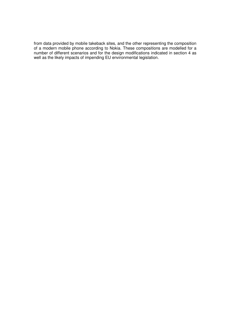from data provided by mobile takeback sites, and the other representing the composition of a modern mobile phone according to Nokia. These compositions are modelled for a number of different scenarios and for the design modifications indicated in section 4 as well as the likely impacts of impending EU environmental legislation.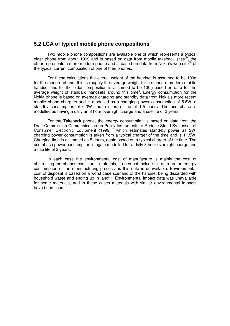### **5.2 LCA of typical mobile phone compositions**

 Two mobile phone compositions are available one of which represents a typical older phone from about 1999 and is based on data from mobile takeback sites<sup>29</sup>, the other represents a more modern phone and is based on data from Nokia's web site $30$  of the typical current composition of one of their phones.

 For these calculations the overall weight of the handset is assumed to be 100g for the modern phone, this is roughly the average weight for a standard modern mobile handset and for the older composition is assumed to be 130g based on data for the average weight of standard handsets around this time<sup>8</sup>. Energy consumption for the Nokia phone is based on average charging and standby data from Nokia's more recent mobile phone chargers and is modelled as a charging power consumption of 5.6W, a standby consumption of 0.3W and a charge time of 1.5 hours. The use phase is modelled as having a daily an 8 hour overnight charge and a use life of 2 years.

 For the Takeback phone, the energy consumption is based on data from the Draft Commission Communication on Policy Instruments to Reduce Stand-By Losses of Consumer Electronic Equipment (1999)<sup>37</sup> which estimates stand-by power as 2W, charging power consumption is taken from a typical charger of the time and is 11.5W. Charging time is estimated as 5 hours, again based on a typical charger of the time. The use phase power consumption is again modelled for a daily 8 hour overnight charge and a use life of 2 years.

In each case the environmental cost of manufacture is mainly the cost of abstracting the phones constituent materials, it does not include full data on the energy consumption of the manufacturing process as this data is unavailable. Environmental cost of disposal is based on a worst case scenario of the handset being discarded with household waste and ending up in landfill. Environmental impact data was unavailable for some materials, and in these cases materials with similar environmental impacts have been used.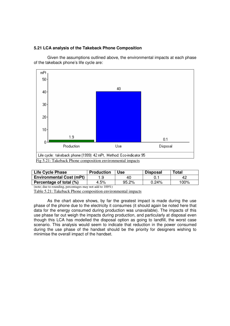#### **5.21 LCA analysis of the Takeback Phone Composition**

Given the assumptions outlined above, the environmental impacts at each phase of the takeback phone's life cycle are:



| <b>Life Cycle Phase</b>         | <b>Production</b> | Use   | <b>Disposal</b> | <b>Total</b> |
|---------------------------------|-------------------|-------|-----------------|--------------|
| <b>Environmental Cost (mPt)</b> |                   | 40    |                 | 42           |
| Percentage of total (%)         | 4.5%              | 95.2% | $0.24\%$        | 100%         |

(note; due to rounding, percentages may not add to 100%)

Table 5.21: Takeback Phone composition environmental impacts

As the chart above shows, by far the greatest impact is made during the use phase of the phone due to the electricity it consumes (it should again be noted here that data for the energy consumed during production was unavailable). The impacts of this use phase far out weigh the impacts during production, and particularly at disposal even though this LCA has modelled the disposal option as going to landfill, the worst case scenario. This analysis would seem to indicate that reduction in the power consumed during the use phase of the handset should be the priority for designers wishing to minimise the overall impact of the handset.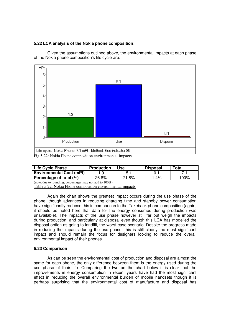#### **5.22 LCA analysis of the Nokia phone composition:**



Given the assumptions outlined above, the environmental impacts at each phase of the Nokia phone composition's life cycle are:

| <b>Life Cycle Phase</b>         | <b>Production</b> | Use   | <b>Disposal</b> | Total |
|---------------------------------|-------------------|-------|-----------------|-------|
| <b>Environmental Cost (mPt)</b> |                   |       |                 |       |
| Percentage of total (%)         | 26.8%             | 71.8% | $.4\%$          | 100%  |
| $(1, 1)$ $(1, 1)$ $(0, 0)$      |                   |       |                 |       |

<sup>(</sup>note, due to rounding, percentages may not add to 100%)

Again the chart shows the greatest impact occurs during the use phase of the phone, though advances in reducing charging time and standby power consumption have significantly reduced this in comparison to the Takeback phone composition (again, it should be noted here that data for the energy consumed during production was unavailable). The impacts of the use phase however still far out weigh the impacts during production, and particularly at disposal even though this LCA has modelled the disposal option as going to landfill, the worst case scenario. Despite the progress made in reducing the impacts during the use phase, this is still clearly the most significant impact and should remain the focus for designers looking to reduce the overall environmental impact of their phones.

#### **5.23 Comparison**

 As can be seen the environmental cost of production and disposal are almost the same for each phone, the only difference between them is the energy used during the use phase of their life. Comparing the two on the chart below it is clear that the improvements in energy consumption in recent years have had the most significant effect in reducing the overall environmental burden of mobile handsets though it is perhaps surprising that the environmental cost of manufacture and disposal has

Table 5.22: Nokia Phone composition environmental impacts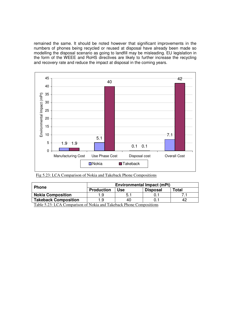remained the same. It should be noted however that significant improvements in the numbers of phones being recycled or reused at disposal have already been made so modelling the disposal scenario as going to landfill may be misleading. EU legislation in the form of the WEEE and RoHS directives are likely to further increase the recycling and recovery rate and reduce the impact at disposal in the coming years.



| Fig 5.23: LCA Comparison of Nokia and Takeback Phone Compositions |  |
|-------------------------------------------------------------------|--|
|                                                                   |  |

| <b>Phone</b>                                                                                                                      | <b>Environmental Impact (mPt)</b> |     |                 |             |
|-----------------------------------------------------------------------------------------------------------------------------------|-----------------------------------|-----|-----------------|-------------|
|                                                                                                                                   | <b>Production</b>                 | Jse | <b>Disposal</b> | $\tau$ otal |
| <b>Nokia Composition</b>                                                                                                          |                                   | b.  |                 |             |
| <b>Takeback Composition</b>                                                                                                       | .ყ                                | 40  |                 |             |
| $\bullet$ . $\bullet$<br>$\overline{m}$ ii $\overline{m}$ and $\overline{m}$ in $\overline{m}$<br>0.17.1<br>$\sim$<br>.<br>$\sim$ |                                   |     |                 |             |

Table 5.23: LCA Comparison of Nokia and Takeback Phone Compositions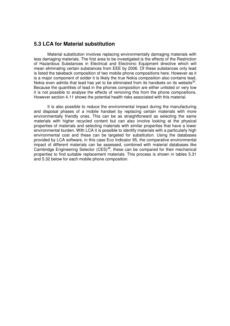### **5.3 LCA for Material substitution**

 Material substitution involves replacing environmentally damaging materials with less damaging materials. The first area to be investigated is the effects of the Restriction of Hazardous Substances in Electrical and Electronic Equipment directive which will mean eliminating certain substances from EEE by 2006. Of these substances only lead is listed the takeback composition of two mobile phone compositions here. However as it is a major component of solder it is likely the true Nokia composition also contains lead, Nokia even admits that lead has yet to be eliminated from its handsets on its website<sup>32</sup>. Because the quantities of lead in the phones composition are either unlisted or very low it is not possible to analyse the effects of removing this from the phone compositions. However section 4.11 shows the potential health risks associated with this material.

 It is also possible to reduce the environmental impact during the manufacturing and disposal phases of a mobile handset by replacing certain materials with more environmentally friendly ones. This can be as straightforward as selecting the same materials with higher recycled content but can also involve looking at the physical properties of materials and selecting materials with similar properties that have a lower environmental burden. With LCA it is possible to identify materials with a particularly high environmental cost and these can be targeted for substitution. Using the databases provided by LCA software, in this case Eco Indicator 95, the comparative environmental impact of different materials can be assessed, combined with material databases like Cambridge Engineering Selector (CES)<sup>38</sup>, these can be compared for their mechanical properties to find suitable replacement materials. This process is shown in tables 5.31 and 5.32 below for each mobile phone composition.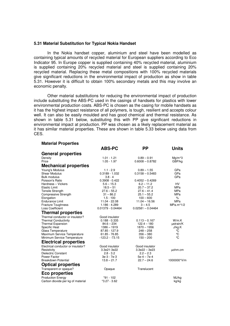#### **5.31 Material Substitution for Typical Nokia Handset**

**Material Properties** 

 In the Nokia handset copper, aluminium and steel have been modelled as containing typical amounts of recycled material for European suppliers according to Eco Indicator 95. In Europe copper is supplied containing 40% recycled material, aluminium is supplied containing 20% recycled material and steel is supplied containing 20% recycled material. Replacing these metal compositions with 100% recycled materials give significant reductions in the environmental impact of production as show in table 5.31. However it is difficult to obtain 100% secondary metals and this may involve an economic penalty.

 Other material substitutions for reducing the environmental impact of production include substituting the ABS-PC used in the casings of handsets for plastics with lower environmental production costs. ABS-PC is chosen as the casing for mobile handsets as it has the highest impact resistance of all polymers, is tough, resilient and accepts colour well. It can also be easily moulded and has good chemical and thermal resistance. As shown in table 5.31 below, substituting this with PP give significant reductions in environmental impact at production. PP was chosen as a likely replacement material as it has similar material properties. These are shown in table 5.33 below using data from CES.

|                                    | <b>ABS-PC</b>       | <b>PP</b>           | <b>Units</b> |
|------------------------------------|---------------------|---------------------|--------------|
| <b>General properties</b>          |                     |                     |              |
| Density                            | $1.01 - 1.21$       | $0.89 - 0.91$       | $Mg/m^3$     |
| Price                              | $1.05 - 1.97$       | $0.6008 - 0.8782$   | GBP/kg       |
| <b>Mechanical properties</b>       |                     |                     |              |
| Young's Modulus                    | $1.1 - 2.9$         | $0.89 - 1.55$       | GPa          |
| <b>Shear Modulus</b>               | $0.3189 - 1.032$    | $0.3158 - 0.5483$   | GPa          |
| <b>Bulk modulus</b>                | $3.8 - 4$           |                     | GPa          |
| Poisson's Ratio                    | $0.3908 - 0.422$    | $0.4052 - 0.4269$   |              |
| Hardness - Vickers                 | $5.6 - 15.3$        | $6.2 - 11.2$        | <b>HV</b>    |
| <b>Elastic Limit</b>               | $18.5 - 51$         | $20.7 - 37.2$       | <b>MPa</b>   |
| <b>Tensile Strength</b>            | $27.6 - 55.2$       | $27.6 - 41.4$       | <b>MPa</b>   |
| <b>Compressive Strength</b>        | $31 - 86.2$         | $25.1 - 55.2$       | <b>MPa</b>   |
| Elongation                         | $1.5 - 100$         | $100 - 600$         | $\%$         |
| <b>Endurance Limit</b>             | 11.04 - 22.08       | $11.04 - 16.56$     | <b>MPa</b>   |
| <b>Fracture Toughness</b>          | 1.186 - 4.289       | $3 - 4.5$           | $MPa.m^1/2$  |
| Loss Coefficient                   | $0.01379 - 0.04464$ | $0.02581 - 0.04464$ |              |
| <b>Thermal properties</b>          |                     |                     |              |
| Thermal conductor or insulator?    | Good insulator      |                     |              |
| <b>Thermal Conductivity</b>        | $0.188 - 0.335$     | $0.113 - 0.167$     | W/m.K        |
| <b>Thermal Expansion</b>           | $84.6 - 234$        | $122.4 - 180$       | ustrain/K    |
| Specific Heat                      | $1386 - 1919$       | $1870 - 1956$       | J/kg.K       |
| <b>Glass Temperature</b>           | 87.85 - 127.9       | $248 - 258$         | ℃            |
| Maximum Service Temperature        | 61.85 - 76.85       | $356 - 380$         | ℃            |
| Minimum Service Temperature        | $-123.2 - 73.15$    | $150 - 200$         | °C           |
| <b>Electrical properties</b>       |                     |                     |              |
| Electrical conductor or insulator? | Good insulator      | Good insulator      |              |
| Resistivity                        | 3.3e21-3e22         | $3.3e22 - 3e23$     | µohm.cm      |
| Dielectric Constant                | $2.8 - 3.2$         | $2.2 - 2.3$         |              |
| Power Factor                       | 3e-3 - 7e-3         | $5e-4-7e-4$         |              |
| <b>Breakdown Potential</b>         | $13.8 - 21.7$       | $22.7 - 24.6$       | 1000000*V/m  |
| <b>Optical properties</b>          |                     |                     |              |
| Transparent or opaque?             | Opaque              | Translucent         |              |
| <b>Eco properties</b>              |                     |                     |              |
| <b>Production Energy</b>           | *91 - 102           |                     | MJ/kg        |
| Carbon dioxide per kg of material  | $*3.27 - 3.62$      |                     | kg/kg        |
|                                    |                     |                     |              |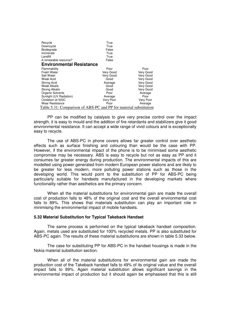| Recycle<br>Downcycle            | True<br>True                                                      |           |
|---------------------------------|-------------------------------------------------------------------|-----------|
| Biodegrade                      | False                                                             |           |
| Incinerate                      | True                                                              |           |
| Landfill                        | True                                                              |           |
| A renewable resource?           | False                                                             |           |
| <b>Environmental Resistance</b> |                                                                   |           |
| Flammability                    | Poor                                                              | Poor      |
| Fresh Water                     | Very Good                                                         | Very Good |
| Salt Water                      | Very Good                                                         | Very Good |
| Weak Acid                       | Good                                                              | Very Good |
| <b>Strong Acid</b>              | Average                                                           | Very Good |
| <b>Weak Alkalis</b>             | Good                                                              | Very Good |
| Strong Alkalis                  | Good                                                              | Very Good |
| <b>Organic Solvents</b>         | Poor                                                              | Average   |
| Sunlight (UV Radiation)         | Average                                                           | Poor      |
| Oxidation at 500C               | Very Poor                                                         | Very Poor |
| <b>Wear Resistance</b>          | Poor                                                              | Average   |
|                                 | Table 5.31: Comparison of ABS-PC and PP for material substitution |           |

PP can be modified by catalysis to give very precise control over the impact strength, it is easy to mould and the addition of fire retardants and stabilizers give it good environmental resistance. It can accept a wide range of vivid colours and is exceptionally easy to recycle.

 The use of ABS-PC in phone covers allows far greater control over aesthetic effects such as surface finishing and colouring than would be the case with PP. However, if the environmental impact of the phone is to be minimised some aesthetic compromise may be necessary. ABS is easy to recycle but not as easy as PP and it consumes far greater energy during production. The environmental impacts of this are modelled using power generated from modern European power stations and are likely to be greater for less modern, more polluting power stations such as those in the developing world. This would point to the substitution of PP for ABS-PC being particularly suitable for handsets manufactured in the developing markets where functionality rather than aesthetics are the primary concern.

When all the material substitutions for environmental gain are made the overall cost of production falls to 48% of the original cost and the overall environmental cost falls to 89%. This shows that materials substitution can play an important role in minimising the environmental impact of mobile handsets.

#### **5.32 Material Substitution for Typical Takeback Handset**

 The same process is performed on the typical takeback handset composition. Again, metals used are substituted for 100% recycled metals. PP is also substituted for ABS-PC again. The results of these material substitutions are shown in table 5.33 below.

 The case for substituting PP for ABS-PC in the handset housings is made in the Nokia material substitution section.

 When all of the material substitutions for environmental gain are made the production cost of the Takeback handset falls to 49% of its original value and the overall impact falls to 89%. Again material substitution allows significant savings in the environmental impact of production but it should again be emphasised that this is still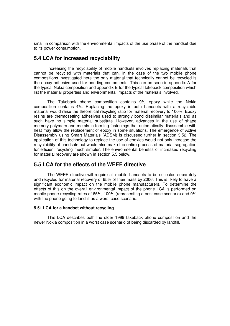small in comparison with the environmental impacts of the use phase of the handset due to its power consumption.

# **5.4 LCA for increased recyclability**

 Increasing the recyclability of mobile handsets involves replacing materials that cannot be recycled with materials that can. In the case of the two mobile phone compositions investigated here the only material that technically cannot be recycled is the epoxy adhesive used for bonding components. This can be seen in appendix A for the typical Nokia composition and appendix B for the typical takeback composition which list the material properties and environmental impacts of the materials involved.

 The Takeback phone composition contains 9% epoxy while the Nokia composition contains 4%. Replacing the epoxy in both handsets with a recyclable material would raise the theoretical recycling ratio for material recovery to 100%. Epoxy resins are thermosetting adhesives used to strongly bond dissimilar materials and as such have no simple material substitute. However, advances in the use of shape memory polymers and metals in forming fastenings that automatically disassemble with heat may allow the replacement of epoxy in some situations. The emergence of Active Disassembly using Smart Materials (ADSM) is discussed further in section 3.52. The application of this technology to replace the use of epoxies would not only increase the recyclability of handsets but would also make the entire process of material segregation for efficient recycling much simpler. The environmental benefits of increased recycling for material recovery are shown in section 5.5 below.

# **5.5 LCA for the effects of the WEEE directive**

 The WEEE directive will require all mobile handsets to be collected separately and recycled for material recovery of 65% of their mass by 2006. This is likely to have a significant economic impact on the mobile phone manufacturers. To determine the effects of this on the overall environmental impact of the phone LCA is performed on mobile phone recycling rates of 65%, 100% (representing a best case scenario) and 0% with the phone going to landfill as a worst case scenario.

#### **5.51 LCA for a handset without recycling**

 This LCA describes both the older 1999 takeback phone composition and the newer Nokia composition in a worst case scenario of being discarded by landfill.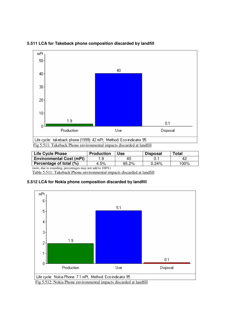

| 5.511 LCA for Takeback phone composition discarded by landfill |  |  |
|----------------------------------------------------------------|--|--|
|                                                                |  |  |

| <b>Life Cycle Phase</b>                                      | <b>Production</b> | Use   | <b>Disposal</b> | <b>Total</b> |
|--------------------------------------------------------------|-------------------|-------|-----------------|--------------|
| <b>Environmental Cost (mPt)</b>                              | . .9              | 40    |                 | 42           |
| Percentage of total (%)                                      | 4.5%              | 95.2% | 0.24%           | 100%         |
| (note, due to rounding, percentages may not add to $100\%$ ) |                   |       |                 |              |

Table 5.511: Takeback Phone environmental impacts discarded at landfill

#### **5.512 LCA for Nokia phone composition discarded by landfill**



Fig 5.512: Nokia Phone environmental impacts discarded at landfill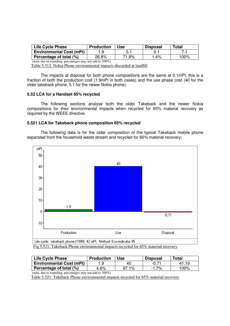| <b>Life Cycle Phase</b>         | <b>Production</b> | Use   | <b>Disposal</b> | Total |
|---------------------------------|-------------------|-------|-----------------|-------|
| <b>Environmental Cost (mPt)</b> |                   |       |                 |       |
| Percentage of total (%)         | 26.8%             | 71.8% | ່ 4%            | 100%  |

(note, due to rounding, percentages may not add to 100%)

Table 5.512: Nokia Phone environmental impacts discarded at landfill

 The impacts at disposal for both phone compositions are the same at 0.1mPt, this is a fraction of both the production cost (1.9mPt in both cases) and the use phase cost (40 for the older takeback phone, 5.1 for the newer Nokia phone).

#### **5.52 LCA for a Handset 65% recycled**

 The following sections analyse both the older Takeback and the newer Nokia compositions for their environmental impacts when recycled for 65% material recovery as required by the WEEE directive.

#### **5.521 LCA for Takeback phone composition 65% recycled**

 The following data is for the older composition of the typical Takeback mobile phone separated from the household waste stream and recycled for 65% material recovery:



Fig 5.521: Takeback Phone environmental impacts recycled for 65% material recovery

| <b>Life Cycle Phase</b>                                      | <b>Production</b> | <b>Use</b> | <b>Disposal</b> | <b>Total</b> |  |
|--------------------------------------------------------------|-------------------|------------|-----------------|--------------|--|
| <b>Environmental Cost (mPt)</b>                              | 1.9               | 40         | $-0.71$         | 41.19        |  |
| Percentage of total (%)                                      | 4.6%              | $97.1\%$   | $-1.7\%$        | 100%         |  |
| (note, due to rounding, percentages may not add to $100\%$ ) |                   |            |                 |              |  |

Table 5.521: Takeback Phone environmental impacts recycled for 65% material recovery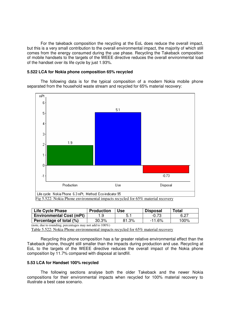For the takeback composition the recycling at the EoL does reduce the overall impact, but this is a very small contribution to the overall environmental impact, the majority of which still comes from the energy consumed during the use phase. Recycling the Takeback composition of mobile handsets to the targets of the WEEE directive reduces the overall environmental load of the handset over its life cycle by just 1.93%.

#### **5.522 LCA for Nokia phone composition 65% recycled**

 The following data is for the typical composition of a modern Nokia mobile phone separated from the household waste stream and recycled for 65% material recovery:



| <b>Life Cycle Phase</b>                                      | <b>Production</b> | <b>Use</b> | <b>Disposal</b> | Total |  |
|--------------------------------------------------------------|-------------------|------------|-----------------|-------|--|
| <b>Environmental Cost (mPt)</b>                              | 1.9               | 5.1        | $-0.73$         | 6.27  |  |
| Percentage of total (%)                                      | 30.3%             | 81.3%      | -11.6%          | 100%  |  |
| (note, due to rounding, percentages may not add to $100\%$ ) |                   |            |                 |       |  |

Table 5.522: Nokia Phone environmental impacts recycled for 65% material recovery

 Recycling this phone composition has a far greater relative environmental effect than the Takeback phone, thought still smaller than the impacts during production and use. Recycling at EoL to the targets of the WEEE directive reduces the overall impact of the Nokia phone composition by 11.7% compared with disposal at landfill.

#### **5.53 LCA for Handset 100% recycled**

 The following sections analyse both the older Takeback and the newer Nokia compositions for their environmental impacts when recycled for 100% material recovery to illustrate a best case scenario.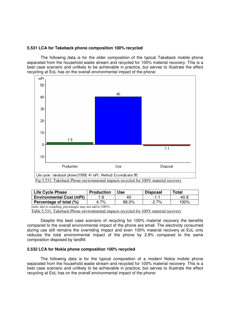#### **5.531 LCA for Takeback phone composition 100% recycled**

 The following data is for the older composition of the typical Takeback mobile phone separated from the household waste stream and recycled for 100% material recovery. This is a best case scenario and unlikely to be achievable in practice, but serves to illustrate the effect recycling at EoL has on the overall environmental impact of the phone:



Fig 5.531: Takeback Phone environmental impacts recycled for 100% material recovery

| <b>Life Cycle Phase</b>         | <b>Production</b> | Use   | <b>Disposal</b> | <b>Total</b> |
|---------------------------------|-------------------|-------|-----------------|--------------|
| <b>Environmental Cost (mPt)</b> |                   | 40    |                 | 40.8         |
| Percentage of total (%)         | 4.7%              | 98.0% | $-2.7%$         | 100%         |

(note, due to rounding, percentages may not add to 100%)

Table 5.531: Takeback Phone environmental impacts recycled for 100% material recovery

 Despite this best case scenario of recycling for 100% material recovery the benefits compared to the overall environmental impact of the phone are small. The electricity consumed during use still remains the overriding impact and even 100% material recovery at EoL only reduces the total environmental impact of the phone by 2.9% compared to the same composition disposed by landfill.

#### **5.532 LCA for Nokia phone composition 100% recycled**

 The following data is for the typical composition of a modern Nokia mobile phone separated from the household waste stream and recycled for 100% material recovery. This is a best case scenario and unlikely to be achievable in practice, but serves to illustrate the effect recycling at EoL has on the overall environmental impact of the phone: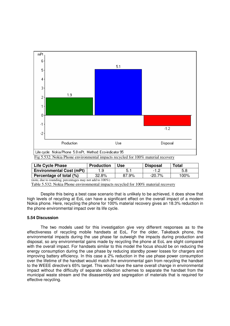

Fig 5.532: Nokia Phone environmental impacts recycled for 100% material recovery

| Life Cycle Phase                | <b>Production</b> | Use   | <b>Disposal</b> | Total |
|---------------------------------|-------------------|-------|-----------------|-------|
| <b>Environmental Cost (mPt)</b> |                   |       | $-1.2$          | 5.8   |
| Percentage of total (%)         | 32.8%             | 87.9% | $-20.7%$        | 100%  |

(note, due to rounding, percentages may not add to 100%)

Table 5.532: Nokia Phone environmental impacts recycled for 100% material recovery

Despite this being a best case scenario that is unlikely to be achieved, it does show that high levels of recycling at EoL can have a significant effect on the overall impact of a modern Nokia phone. Here, recycling the phone for 100% material recovery gives an 18.3% reduction in the phone environmental impact over its life cycle.

#### **5.54 Discussion**

 The two models used for this investigation give very different responses as to the effectiveness of recycling mobile handsets at EoL. For the older, Takeback phone, the environmental impacts during the use phase far outweigh the impacts during production and disposal, so any environmental gains made by recycling the phone at EoL are slight compared with the overall impact. For handsets similar to this model the focus should be on reducing the energy consumption during the use phase by reducing standby power losses for chargers and improving battery efficiency. In this case a 2% reduction in the use phase power consumption over the lifetime of the handset would match the environmental gain from recycling the handset to the WEEE directive's 65% target. This would have the same overall change in environmental impact without the difficulty of separate collection schemes to separate the handset from the municipal waste stream and the disassembly and segregation of materials that is required for effective recycling.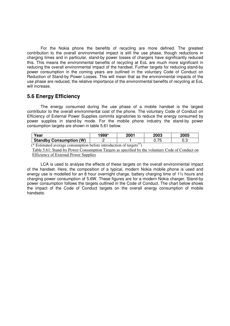For the Nokia phone the benefits of recycling are more defined. The greatest contribution to the overall environmental impact is still the use phase, though reductions in charging times and in particular, stand-by power losses of chargers have significantly reduced this. This means the environmental benefits of recycling at EoL are much more significant in reducing the overall environmental impact of the handset. Further targets for reducing stand-by power consumption in the coming years are outlined in the voluntary Code of Conduct on Reduction of Stand-by Power Losses. This will mean that as the environmental impacts of the use phase are reduced, the relative importance of the environmental benefits of recycling at EoL will increase.

# **5.6 Energy Efficiency**

 The energy consumed during the use phase of a mobile handset is the largest contributor to the overall environmental cost of the phone. The voluntary Code of Conduct on Efficiency of External Power Supplies commits signatories to reduce the energy consumed by power supplies in stand-by mode. For the mobile phone industry the stand-by power consumption targets are shown in table 5.61 below.

| Year                              | 1999* | $200^+$ | 2003         | 2005 |
|-----------------------------------|-------|---------|--------------|------|
| <b>Standby Consumption</b><br>(W) |       |         | フド<br>v. 1 J | υ.u  |

(\* Estimated average consumption before introduction of targets<sup>37</sup>)

 Table 5.61: Stand-by Power Consumption Targets as specified by the voluntary Code of Conduct on Efficiency of External Power Supplies

LCA is used to analyse the effects of these targets on the overall environmental impact of the handset. Here, the composition of a typical, modern Nokia mobile phone is used and energy use is modelled for an 8 hour overnight charge, battery charging time of  $1\frac{1}{2}$  hours and charging power consumption of 5.6W. These figures are for a modern Nokia charger. Stand-by power consumption follows the targets outlined in the Code of Conduct. The chart below shows the impact of the Code of Conduct targets on the overall energy consumption of mobile handsets.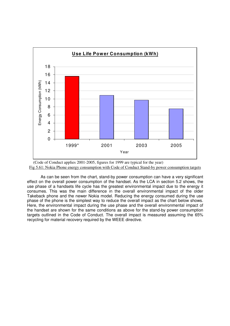

 (Code of Conduct applies 2001-2005, figures for 1999 are typical for the year) Fig 5.61: Nokia Phone energy consumption with Code of Conduct Stand-by power consumption targets

As can be seen from the chart, stand-by power consumption can have a very significant effect on the overall power consumption of the handset. As the LCA in section 5.2 shows, the use phase of a handsets life cycle has the greatest environmental impact due to the energy it consumes. This was the main difference in the overall environmental impact of the older Takeback phone and the newer Nokia model. Reducing the energy consumed during the use phase of the phone is the simplest way to reduce the overall impact as the chart below shows. Here, the environmental impact during the use phase and the overall environmental impact of the handset are shown for the same conditions as above for the stand-by power consumption targets outlined in the Code of Conduct. The overall impact is measured assuming the 65% recycling for material recovery required by the WEEE directive.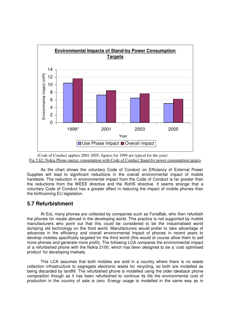



As the chart shows the voluntary Code of Conduct on Efficiency of External Power Supplies will lead to significant reductions in the overall environmental impact of mobile handsets. The reduction in environmental impact from the Code of Conduct is far greater than the reductions from the WEEE directive and the RoHS directive. It seems strange that a voluntary Code of Conduct has a greater effect in reducing the impact of mobile phones than the forthcoming EU legislation.

# **5.7 Refurbishment**

 At EoL many phones are collected by companies such as FoneBak, who then refurbish the phones for resale abroad in the developing world. This practice is not supported by mobile manufacturers who point out that this could be considered to be the industrialised world dumping old technology on the third world. Manufacturers would prefer to take advantage of advances in the efficiency and overall environmental impact of phones in recent years to develop mobiles specifically targeted for the third world (this would of course allow them to sell more phones and generate more profit). The following LCA compares the environmental impact of a refurbished phone with the Nokia 2100, which has been designed to be a 'cost optimised product' for developing markets.

 This LCA assumes that both mobiles are sold in a country where there is no waste collection infrastructure to segregate electronic waste for recycling, so both are modelled as being discarded by landfill. The refurbished phone is modelled using the older takeback phone composition though as it has been refurbished to continue its life the environmental cost of production in the country of sale is zero. Energy usage is modelled in the same way as in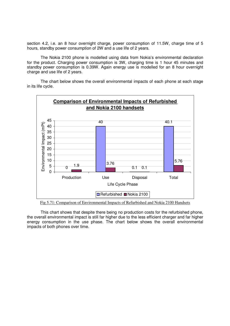section 4.2, i.e. an 8 hour overnight charge, power consumption of 11.5W, charge time of 5 hours, standby power consumption of 2W and a use life of 2 years.

 The Nokia 2100 phone is modelled using data from Nokia's environmental declaration for the product. Charging power consumption is 3W, charging time is 1 hour 45 minutes and standby power consumption is 0.39W. Again energy use is modelled for an 8 hour overnight charge and use life of 2 years.

 The chart below shows the overall environmental impacts of each phone at each stage in its life cycle.



Fig 5.71: Comparison of Environmental Impacts of Refurbished and Nokia 2100 Handsets

This chart shows that despite there being no production costs for the refurbished phone, the overall environmental impact is still far higher due to the less efficient charger and far higher energy consumption in the use phase. The chart below shows the overall environmental impacts of both phones over time.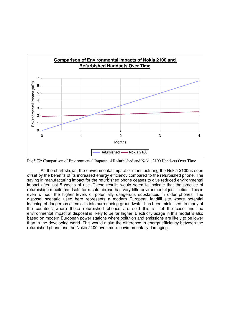

Fig 5.72: Comparison of Environmental Impacts of Refurbished and Nokia 2100 Handsets Over Time

As the chart shows, the environmental impact of manufacturing the Nokia 2100 is soon offset by the benefits of its increased energy efficiency compared to the refurbished phone. The saving in manufacturing impact for the refurbished phone ceases to give reduced environmental impact after just 5 weeks of use. These results would seem to indicate that the practice of refurbishing mobile handsets for resale abroad has very little environmental justification. This is even without the higher levels of potentially dangerous substances in older phones. The disposal scenario used here represents a modern European landfill site where potential leaching of dangerous chemicals into surrounding groundwater has been minimised. In many of the countries where these refurbished phones are sold this is not the case and the environmental impact at disposal is likely to be far higher. Electricity usage in this model is also based on modern European power stations where pollution and emissions are likely to be lower than in the developing world. This would make the difference in energy efficiency between the refurbished phone and the Nokia 2100 even more environmentally damaging.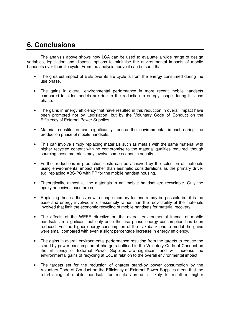# **6. Conclusions**

 The analysis above shows how LCA can be used to evaluate a wide range of design variables, legislation and disposal options to minimise the environmental impacts of mobile handsets over their life cycle. From the analysis above it can be seen that:

- The greatest impact of EEE over its life cycle is from the energy consumed during the use phase.
- The gains in overall environmental performance in more recent mobile handsets compared to older models are due to the reduction in energy usage during this use phase.
- The gains in energy efficiency that have resulted in this reduction in overall impact have been prompted not by Legislation, but by the Voluntary Code of Conduct on the Efficiency of External Power Supplies.
- Material substitution can significantly reduce the environmental impact during the production phase of mobile handsets.
- This can involve simply replacing materials such as metals with the same material with higher recycled content with no compromise to the material qualities required, though sourcing these materials may involve some economic penalty.
- Further reductions in production costs can be achieved by the selection of materials using environmental impact rather than aesthetic considerations as the primary driver e.g. replacing ABS-PC with PP for the mobile handset housing.
- Theoretically, almost all the materials in am mobile handset are recyclable. Only the epoxy adhesives used are not.
- Replacing these adhesives with shape memory fasteners may be possible but it is the ease and energy involved in disassembly rather than the recyclability of the materials involved that limit the economic recycling of mobile handsets for material recovery.
- The effects of the WEEE directive on the overall environmental impact of mobile handsets are significant but only once the use phase energy consumption has been reduced. For the higher energy consumption of the Takeback phone model the gains were small compared with even a slight percentage increase in energy efficiency.
- The gains in overall environmental performance resulting from the targets to reduce the stand-by power consumption of chargers outlined in the Voluntary Code of Conduct on the Efficiency of External Power Supplies are significant and will increase the environmental gains of recycling at EoL in relation to the overall environmental impact.
- The targets set for the reduction of charger stand-by power consumption by the Voluntary Code of Conduct on the Efficiency of External Power Supplies mean that the refurbishing of mobile handsets for resale abroad is likely to result in higher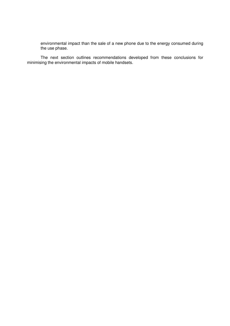environmental impact than the sale of a new phone due to the energy consumed during the use phase.

The next section outlines recommendations developed from these conclusions for minimising the environmental impacts of mobile handsets.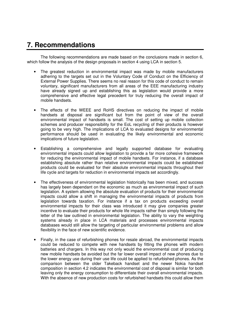# **7. Recommendations**

 The following recommendations are made based on the conclusions made in section 6, which follow the analysis of the design proposals in section 4 using LCA in section 5.

- The greatest reduction in environmental impact was made by mobile manufacturers adhering to the targets set out in the Voluntary Code of Conduct on the Efficiency of External Power Supplies. There seems no real reason for this code of conduct to remain voluntary, significant manufacturers from all areas of the EEE manufacturing industry have already signed up and establishing this as legislation would provide a more comprehensive and effective legal precedent for truly reducing the overall impact of mobile handsets.
- The effects of the WEEE and RoHS directives on reducing the impact of mobile handsets at disposal are significant but from the point of view of the overall environmental impact of handsets is small. The cost of setting up mobile collection schemes and producer responsibility for the EoL recycling of their products is however going to be very high. The implications of LCA to evaluated designs for environmental performance should be used in evaluating the likely environmental and economic implications of future legislation.
- Establishing a comprehensive and legally supported database for evaluating environmental impacts could allow legislation to provide a far more cohesive framework for reducing the environmental impact of mobile handsets. For instance, if a database establishing absolute rather than relative environmental impacts could be established products could be evaluated for their absolute environmental impacts throughout their life cycle and targets for reduction in environmental impacts set accordingly.
- The effectiveness of environmental legislation historically has been mixed, and success has largely been dependant on the economic as much as environmental impact of such legislation. A system allowing the absolute evaluation of products for their environmental impacts could allow a shift in managing the environmental impacts of products from legislation towards taxation. For instance if a tax on products exceeding overall environmental impacts for their class was introduced it may give companies greater incentive to evaluate their products for whole life impacts rather than simply following the letter of the law outlined in environmental legislation. The ability to vary the weighting systems already in place in LCA materials and processes environmental impacts databases would still allow the targeting of particular environmental problems and allow flexibility in the face of new scientific evidence.
- Finally, in the case of refurbishing phones for resale abroad, the environmental impacts could be reduced to compete with new handsets by fitting the phones with modern batteries and chargers. In this way not only would the environmental cost of producing new mobile handsets be avoided but the far lower overall impact of new phones due to the lower energy use during their use life could be applied to refurbished phones. As the comparison between the older Takeback handset and the newer Nokia handset composition in section 4.2 indicates the environmental cost of disposal is similar for both leaving only the energy consumption to differentiate their overall environmental impacts. With the absence of new production costs for refurbished handsets this could allow them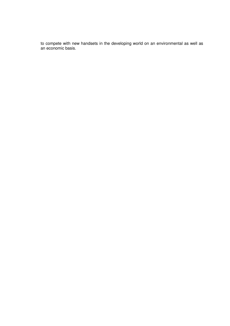to compete with new handsets in the developing world on an environmental as well as an economic basis.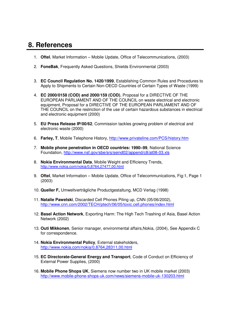# **8. References**

- 1. **Oftel**, Market Information Mobile Update, Office of Telecommunications, (2003)
- 2. **FoneBak**, Frequently Asked Questions, Shields Environmental (2003)
- 3. **EC Council Regulation No. 1420/1999**, Establishing Common Rules and Procedures to Apply to Shipments to Certain Non-OECD Countries of Certain Types of Waste (1999)
- 4. **EC 2000/0158 (COD) and 2000/159 (COD)**, Proposal for a DIRECTIVE OF THE EUROPEAN PARLIAMENT AND OF THE COUNCIL on waste electrical and electronic equipment, Proposal for a DIRECTIVE OF THE EUROPEAN PARLIAMENT AND OF THE COUNCIL on the restriction of the use of certain hazardous substances in electrical and electronic equipment (2000)
- 5. **EU Press Release IP/00/62**, Commission tackles growing problem of electrical and electronic waste (2000)
- 6. **Farley, T**, Mobile Telephone History, http://www.privateline.com/PCS/history.htm
- 7. **Mobile phone penetration in OECD countries: 1990–99**, National Science Foundation, http://www.nsf.gov/sbe/srs/seind02/append/c8/at08-03.xls
- 8. **Nokia Environmental Data**, Mobile Weight and Efficiency Trends, http://www.nokia.com/nokia/0,8764,27477,00.html
- 9. **Oftel**, Market Information Mobile Update, Office of Telecommunications, Fig:1, Page 1 (2003)
- 10. **Queller F,** Umweltverträgliche Productgestaltung, MCD Verlag (1998)
- 11. **Natalie Pawelski**, Discarded Cell Phones Piling up, CNN (05/06/2002), http://www.cnn.com/2002/TECH/ptech/06/05/toxic.cell.phones/index.html
- 12. **Basel Action Network**, Exporting Harm: The High Tech Trashing of Asia, Basel Action Network (2002)
- 13. **Outi Mikkonen**, Senior manager, environmental affairs,Nokia, (2004), See Appendix C for correspondence.
- 14. **Nokia Environmental Policy**, External stakeholders, http://www.nokia.com/nokia/0,8764,28311,00.html
- 15. **EC Directorate-General Energy and Transport**, Code of Conduct on Efficiency of External Power Supplies, (2000)
- 16. **Mobile Phone Shops UK**, Siemens now number two in UK mobile market (2003) http://www.mobile-phone-shops-uk.com/news/siemens-mobile-uk-130203.html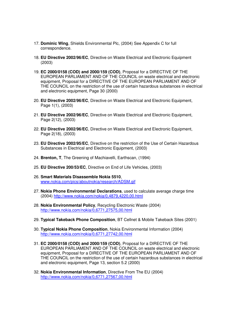- 17. **Dominic Wing**, Shields Environmental Plc, (2004) See Appendix C for full correspondence.
- 18. **EU Directive 2002/96/EC**, Directive on Waste Electrical and Electronic Equipment (2003)
- 19. **EC 2000/0158 (COD) and 2000/159 (COD)**, Proposal for a DIRECTIVE OF THE EUROPEAN PARLIAMENT AND OF THE COUNCIL on waste electrical and electronic equipment, Proposal for a DIRECTIVE OF THE EUROPEAN PARLIAMENT AND OF THE COUNCIL on the restriction of the use of certain hazardous substances in electrical and electronic equipment, Page 30 (2000)
- 20. **EU Directive 2002/96/EC**, Directive on Waste Electrical and Electronic Equipment, Page 1(1), (2003)
- 21. **EU Directive 2002/96/EC**, Directive on Waste Electrical and Electronic Equipment, Page 2(12), (2003)
- 22. **EU Directive 2002/96/EC**, Directive on Waste Electrical and Electronic Equipment, Page 2(18), (2003)
- 23. **EU Directive 2002/95/EC**, Directive on the restriction of the Use of Certain Hazardous Substances in Electrical and Electronic Equipment, (2003)
- 24. **Brenton, T**, The Greening of Machiavelli, Earthscan, (1994)
- 25. **EU Directive 200/53/EC**, Directive on End of Life Vehicles, (2003)
- 26. **Smart Materials Disassemble Nokia 5510**, www.nokia.com/pics/aboutnokia/research/ADSM.gif
- 27. **Nokia Phone Environmental Declarations**, used to calculate average charge time (2004) http://www.nokia.com/nokia/0,4879,4220,00.html
- 28. **Nokia Environmental Policy**, Recycling Electronic Waste (2004) http://www.nokia.com/nokia/0,6771,27575,00.html
- 29. **Typical Takeback Phone Composition**, BT Cellnet & Mobile Takeback Sites (2001)
- 30. **Typical Nokia Phone Composition**, Nokia Environmental Information (2004) http://www.nokia.com/nokia/0,6771,27742,00.html
- 31. **EC 2000/0158 (COD) and 2000/159 (COD)**, Proposal for a DIRECTIVE OF THE EUROPEAN PARLIAMENT AND OF THE COUNCIL on waste electrical and electronic equipment, Proposal for a DIRECTIVE OF THE EUROPEAN PARLIAMENT AND OF THE COUNCIL on the restriction of the use of certain hazardous substances in electrical and electronic equipment, Page 13, section 5.2 (2000)
- 32. **Nokia Environmental Information**, Directive From The EU (2004) http://www.nokia.com/nokia/0,6771,27567,00.html